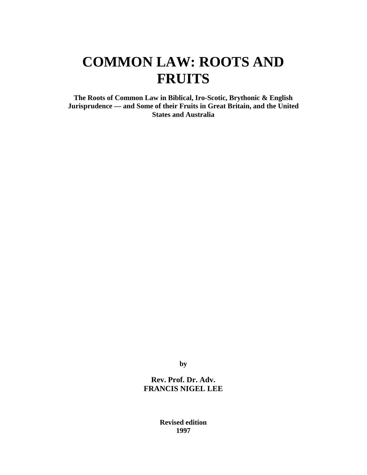**The Roots of Common Law in Biblical, Iro-Scotic, Brythonic & English Jurisprudence — and Some of their Fruits in Great Britain, and the United States and Australia**

**by**

**Rev. Prof. Dr. Adv. FRANCIS NIGEL LEE**

> **Revised edition 1997**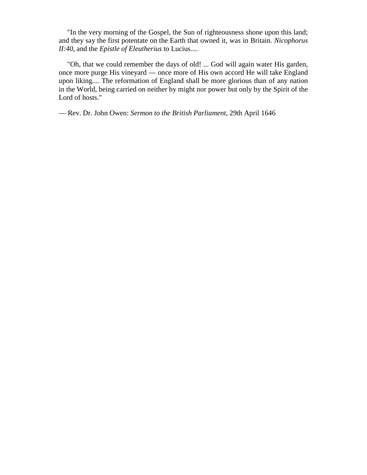"In the very morning of the Gospel, the Sun of righteousness shone upon this land; and they say the first potentate on the Earth that owned it, was in Britain. *Nicophorus II:40*, and the *Epistle of Eleutherius* to Lucius....

"Oh, that we could remember the days of old! ... God will again water His garden, once more purge His vineyard — once more of His own accord He will take England upon liking.... The reformation of England shall be more glorious than of any nation in the World, being carried on neither by might nor power but only by the Spirit of the Lord of hosts."

— Rev. Dr. John Owen: *Sermon to the British Parliament*, 29th April 1646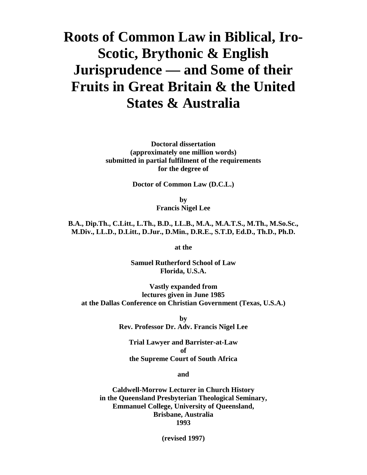# **Roots of Common Law in Biblical, Iro-Scotic, Brythonic & English Jurisprudence — and Some of their Fruits in Great Britain & the United States & Australia**

**Doctoral dissertation (approximately one million words) submitted in partial fulfilment of the requirements for the degree of**

**Doctor of Common Law (D.C.L.)**

**by Francis Nigel Lee**

**B.A., Dip.Th., C.Litt., L.Th., B.D., LL.B., M.A., M.A.T.S., M.Th., M.So.Sc., M.Div., LL.D., D.Litt., D.Jur., D.Min., D.R.E., S.T.D, Ed.D., Th.D., Ph.D.**

**at the**

**Samuel Rutherford School of Law Florida, U.S.A.**

**Vastly expanded from lectures given in June 1985 at the Dallas Conference on Christian Government (Texas, U.S.A.)**

> **by Rev. Professor Dr. Adv. Francis Nigel Lee**

**Trial Lawyer and Barrister-at-Law of the Supreme Court of South Africa**

**and**

**Caldwell-Morrow Lecturer in Church History in the Queensland Presbyterian Theological Seminary, Emmanuel College, University of Queensland, Brisbane, Australia 1993**

**(revised 1997)**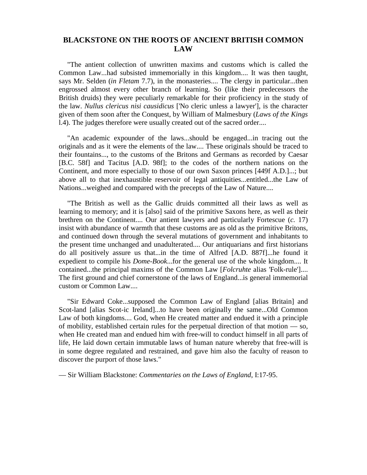## **BLACKSTONE ON THE ROOTS OF ANCIENT BRITISH COMMON LAW**

"The antient collection of unwritten maxims and customs which is called the Common Law...had subsisted immemorially in this kingdom.... It was then taught, says Mr. Selden (*in Fletam* 7.7), in the monasteries.... The clergy in particular...then engrossed almost every other branch of learning. So (like their predecessors the British druids) they were peculiarly remarkable for their proficiency in the study of the law. *Nullus clericus nisi causidicus* ['No cleric unless a lawyer'], is the character given of them soon after the Conquest, by William of Malmesbury (*Laws of the Kings* l.4). The judges therefore were usually created out of the sacred order....

"An academic expounder of the laws...should be engaged...in tracing out the originals and as it were the elements of the law.... These originals should be traced to their fountains..., to the customs of the Britons and Germans as recorded by Caesar [B.C. 58f] and Tacitus [A.D. 98f]; to the codes of the northern nations on the Continent, and more especially to those of our own Saxon princes [449f A.D.]...; but above all to that inexhaustible reservoir of legal antiquities...entitled...the Law of Nations...weighed and compared with the precepts of the Law of Nature....

"The British as well as the Gallic druids committed all their laws as well as learning to memory; and it is [also] said of the primitive Saxons here, as well as their brethren on the Continent.... Our antient lawyers and particularly Fortescue (*c.* 17) insist with abundance of warmth that these customs are as old as the primitive Britons, and continued down through the several mutations of government and inhabitants to the present time unchanged and unadulterated.... Our antiquarians and first historians do all positively assure us that...in the time of Alfred [A.D. 887f]...he found it expedient to compile his *Dome-Book*...for the general use of the whole kingdom.... It contained...the principal maxims of the Common Law [*Folcruhte* alias 'Folk-rule'].... The first ground and chief cornerstone of the laws of England...is general immemorial custom or Common Law....

"Sir Edward Coke...supposed the Common Law of England [alias Britain] and Scot-land [alias Scot-ic Ireland]...to have been originally the same...Old Common Law of both kingdoms.... God, when He created matter and endued it with a principle of mobility, established certain rules for the perpetual direction of that motion — so, when He created man and endued him with free-will to conduct himself in all parts of life, He laid down certain immutable laws of human nature whereby that free-will is in some degree regulated and restrained, and gave him also the faculty of reason to discover the purport of those laws."

— Sir William Blackstone: *Commentaries on the Laws of England*, I:17-95.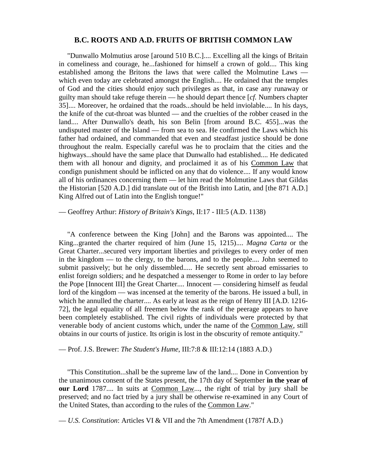#### **B.C. ROOTS AND A.D. FRUITS OF BRITISH COMMON LAW**

"Dunwallo Molmutius arose [around 510 B.C.].... Excelling all the kings of Britain in comeliness and courage, he...fashioned for himself a crown of gold.... This king established among the Britons the laws that were called the Molmutine Laws which even today are celebrated amongst the English.... He ordained that the temples of God and the cities should enjoy such privileges as that, in case any runaway or guilty man should take refuge therein — he should depart thence [*cf.* Numbers chapter 35].... Moreover, he ordained that the roads...should be held inviolable.... In his days, the knife of the cut-throat was blunted — and the cruelties of the robber ceased in the land.... After Dunwallo's death, his son Belin [from around B.C. 455]...was the undisputed master of the Island — from sea to sea. He confirmed the Laws which his father had ordained, and commanded that even and steadfast justice should be done throughout the realm. Especially careful was he to proclaim that the cities and the highways...should have the same place that Dunwallo had established.... He dedicated them with all honour and dignity, and proclaimed it as of his Common Law that condign punishment should be inflicted on any that do violence.... If any would know all of his ordinances concerning them — let him read the Molmutine Laws that Gildas the Historian [520 A.D.] did translate out of the British into Latin, and [the 871 A.D.] King Alfred out of Latin into the English tongue!"

#### — Geoffrey Arthur: *History of Britain's Kings*, II:17 - III:5 (A.D. 1138)

"A conference between the King [John] and the Barons was appointed.... The King...granted the charter required of him (June 15, 1215).... *Magna Carta* or the Great Charter...secured very important liberties and privileges to every order of men in the kingdom — to the clergy, to the barons, and to the people.... John seemed to submit passively; but he only dissembled..... He secretly sent abroad emissaries to enlist foreign soldiers; and he despatched a messenger to Rome in order to lay before the Pope [Innocent III] the Great Charter.... Innocent — considering himself as feudal lord of the kingdom — was incensed at the temerity of the barons. He issued a bull, in which he annulled the charter.... As early at least as the reign of Henry III [A.D. 1216- 72], the legal equality of all freemen below the rank of the peerage appears to have been completely established. The civil rights of individuals were protected by that venerable body of ancient customs which, under the name of the Common Law, still obtains in our courts of justice. Its origin is lost in the obscurity of remote antiquity."

#### — Prof. J.S. Brewer: *The Student's Hume*, III:7:8 & III:12:14 (1883 A.D.)

"This Constitution...shall be the supreme law of the land.... Done in Convention by the unanimous consent of the States present, the 17th day of September **in the year of our Lord** 1787.... In suits at Common Law..., the right of trial by jury shall be preserved; and no fact tried by a jury shall be otherwise re-examined in any Court of the United States, than according to the rules of the Common Law."

— *U.S. Constitution*: Articles VI & VII and the 7th Amendment (1787f A.D.)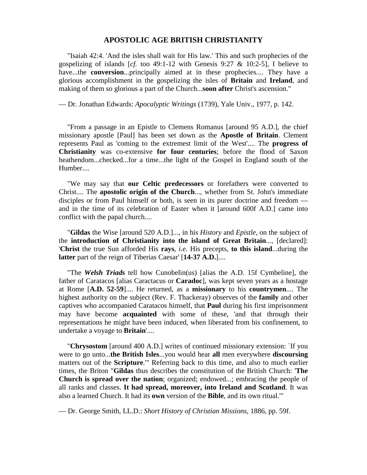#### **APOSTOLIC AGE BRITISH CHRISTIANITY**

"Isaiah 42:4. 'And the isles shall wait for His law.' This and such prophecies of the gospelizing of islands [*cf.* too 49:1-12 with Genesis 9:27 & 10:2-5], I believe to have...the **conversion**...principally aimed at in these prophecies.... They have a glorious accomplishment in the gospelizing the isles of **Britain** and **Ireland**, and making of them so glorious a part of the Church...**soon after** Christ's ascension."

— Dr. Jonathan Edwards: *Apocalyptic Writings* (1739), Yale Univ., 1977, p. 142.

"From a passage in an Epistle to Clemens Romanus [around 95 A.D.], the chief missionary apostle [Paul] has been set down as the **Apostle of Britain**. Clement represents Paul as 'coming to the extremest limit of the West'.... The **progress of Christianity** was co-extensive **for four centuries**; before the flood of Saxon heathendom...checked...for a time...the light of the Gospel in England south of the Humber....

"We may say that **our Celtic predecessors** or forefathers were converted to Christ.... The **apostolic origin of the Church**..., whether from St. John's immediate disciples or from Paul himself or both, is seen in its purer doctrine and freedom and in the time of its celebration of Easter when it [around 600f A.D.] came into conflict with the papal church....

"**Gildas** the Wise [around 520 A.D.]..., in his *History* and *Epistle*, on the subject of the **introduction of Christianity into the island of Great Britain**..., [declared]: '**Christ** the true Sun afforded His **rays**, *i.e.* His precepts, **to this island**...during the **latter** part of the reign of Tiberias Caesar' [**14-37 A.D.**]....

"The *Welsh Triads* tell how Cunobelin(us) [alias the A.D. 15f Cymbeline], the father of Caratacos [alias Caractacus or **Caradoc**], was kept seven years as a hostage at Rome [**A.D. 52-59**].... He returned, as a **missionary** to his **countrymen**.... The highest authority on the subject (Rev. F. Thackeray) observes of the **family** and other captives who accompanied Caratacos himself, that **Paul** during his first imprisonment may have become **acquainted** with some of these, 'and that through their representations he might have been induced, when liberated from his confinement, to undertake a voyage to **Britain**'....

"**Chrysostom** [around 400 A.D.] writes of continued missionary extension: `If you were to go unto...**the British Isles**...you would hear **all** men everywhere **discoursing** matters out of the **Scripture**.'" Referring back to this time, and also to much earlier times, the Briton "**Gildas** thus describes the constitution of the British Church: '**The Church is spread over the nation**; organized; endowed...; embracing the people of all ranks and classes. **It had spread, moreover, into Ireland and Scotland**. It was also a learned Church. It had its **own** version of the **Bible**, and its own ritual.'"

— Dr. George Smith, LL.D.: *Short History of Christian Missions*, 1886, pp. 59f.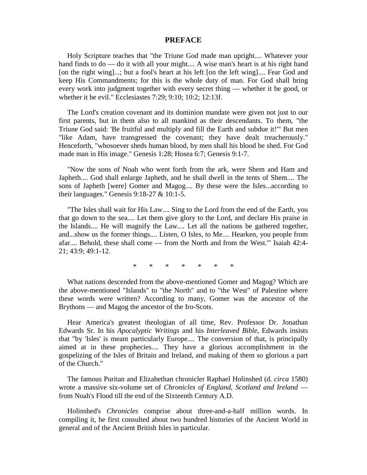#### **PREFACE**

Holy Scripture teaches that "the Triune God made man upright.... Whatever your hand finds to do — do it with all your might.... A wise man's heart is at his right hand [on the right wing]...; but a fool's heart at his left [on the left wing].... Fear God and keep His Commandments; for this is the whole duty of man. For God shall bring every work into judgment together with every secret thing — whether it be good, or whether it be evil." Ecclesiastes 7:29; 9:10; 10:2; 12:13f.

The Lord's creation covenant and its dominion mandate were given not just to our first parents, but in them also to all mankind as their descendants. To them, "the Triune God said: 'Be fruitful and multiply and fill the Earth and subdue it!'" But men "like Adam, have transgressed the covenant; they have dealt treacherously." Henceforth, "whosoever sheds human blood, by men shall his blood be shed. For God made man in His image." Genesis 1:28; Hosea 6:7; Genesis 9:1-7.

"Now the sons of Noah who went forth from the ark, were Shem and Ham and Japheth.... God shall enlarge Japheth, and he shall dwell in the tents of Shem.... The sons of Japheth [were] Gomer and Magog.... By these were the Isles...according to their languages." Genesis 9:18-27 & 10:1-5.

"The Isles shall wait for His Law.... Sing to the Lord from the end of the Earth, you that go down to the sea.... Let them give glory to the Lord, and declare His praise in the Islands.... He will magnify the Law.... Let all the nations be gathered together, and...show us the former things.... Listen, O Isles, to Me.... Hearken, you people from afar.... Behold, these shall come — from the North and from the West.'" Isaiah 42:4- 21; 43:9; 49:1-12.

\* \* \* \* \* \* \*

What nations descended from the above-mentioned Gomer and Magog? Which are the above-mentioned "Islands" to "the North" and to "the West" of Palestine where these words were written? According to many, Gomer was the ancestor of the Brythons — and Magog the ancestor of the Iro-Scots.

Hear America's greatest theologian of all time, Rev. Professor Dr. Jonathan Edwards Sr. In his *Apocalyptic Writings* and his *Interleaved Bible*, Edwards insists that "by 'Isles' is meant particularly Europe.... The conversion of that, is principally aimed at in these prophecies.... They have a glorious accomplishment in the gospelizing of the Isles of Britain and Ireland, and making of them so glorious a part of the Church."

The famous Puritan and Elizabethan chronicler Raphael Holinshed (d. *circa* 1580) wrote a massive six-volume set of *Chronicles of England, Scotland and Ireland* from Noah's Flood till the end of the Sixteenth Century A.D.

Holinshed's *Chronicles* comprise about three-and-a-half million words. In compiling it, he first consulted about two hundred histories of the Ancient World in general and of the Ancient British Isles in particular.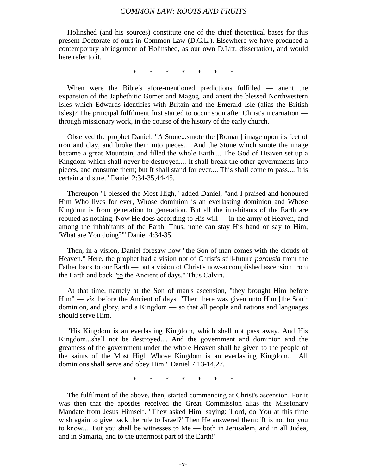Holinshed (and his sources) constitute one of the chief theoretical bases for this present Doctorate of ours in Common Law (D.C.L.). Elsewhere we have produced a contemporary abridgement of Holinshed, as our own D.Litt. dissertation, and would here refer to it.

\* \* \* \* \* \* \*

When were the Bible's afore-mentioned predictions fulfilled — anent the expansion of the Japhethitic Gomer and Magog, and anent the blessed Northwestern Isles which Edwards identifies with Britain and the Emerald Isle (alias the British Isles)? The principal fulfilment first started to occur soon after Christ's incarnation through missionary work, in the course of the history of the early church.

Observed the prophet Daniel: "A Stone...smote the [Roman] image upon its feet of iron and clay, and broke them into pieces.... And the Stone which smote the image became a great Mountain, and filled the whole Earth.... The God of Heaven set up a Kingdom which shall never be destroyed.... It shall break the other governments into pieces, and consume them; but It shall stand for ever.... This shall come to pass.... It is certain and sure." Daniel 2:34-35,44-45.

Thereupon "I blessed the Most High," added Daniel, "and I praised and honoured Him Who lives for ever, Whose dominion is an everlasting dominion and Whose Kingdom is from generation to generation. But all the inhabitants of the Earth are reputed as nothing. Now He does according to His will — in the army of Heaven, and among the inhabitants of the Earth. Thus, none can stay His hand or say to Him, 'What are You doing?'" Daniel 4:34-35.

Then, in a vision, Daniel foresaw how "the Son of man comes with the clouds of Heaven." Here, the prophet had a vision not of Christ's still-future *parousia* from the Father back to our Earth — but a vision of Christ's now-accomplished ascension from the Earth and back "to the Ancient of days." Thus Calvin.

At that time, namely at the Son of man's ascension, "they brought Him before Him" — *viz.* before the Ancient of days. "Then there was given unto Him [the Son]: dominion, and glory, and a Kingdom — so that all people and nations and languages should serve Him.

"His Kingdom is an everlasting Kingdom, which shall not pass away. And His Kingdom...shall not be destroyed.... And the government and dominion and the greatness of the government under the whole Heaven shall be given to the people of the saints of the Most High Whose Kingdom is an everlasting Kingdom.... All dominions shall serve and obey Him." Daniel 7:13-14,27.

\* \* \* \* \* \* \*

The fulfilment of the above, then, started commencing at Christ's ascension. For it was then that the apostles received the Great Commission alias the Missionary Mandate from Jesus Himself. "They asked Him, saying: 'Lord, do You at this time wish again to give back the rule to Israel?' Then He answered them: 'It is not for you to know.... But you shall be witnesses to Me — both in Jerusalem, and in all Judea, and in Samaria, and to the uttermost part of the Earth!'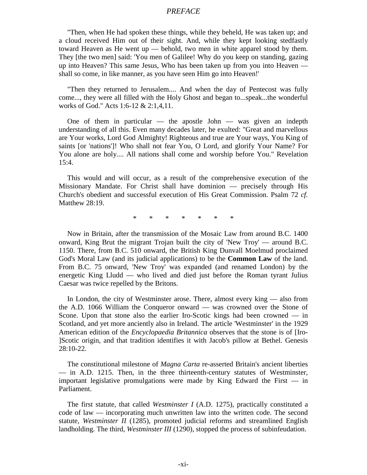#### *PREFACE*

"Then, when He had spoken these things, while they beheld, He was taken up; and a cloud received Him out of their sight. And, while they kept looking stedfastly toward Heaven as He went up — behold, two men in white apparel stood by them. They [the two men] said: 'You men of Galilee! Why do you keep on standing, gazing up into Heaven? This same Jesus, Who has been taken up from you into Heaven shall so come, in like manner, as you have seen Him go into Heaven!'

"Then they returned to Jerusalem.... And when the day of Pentecost was fully come..., they were all filled with the Holy Ghost and began to...speak...the wonderful works of God." Acts 1:6-12 & 2:1,4,11.

One of them in particular — the apostle John — was given an indepth understanding of all this. Even many decades later, he exulted: "Great and marvellous are Your works, Lord God Almighty! Righteous and true are Your ways, You King of saints [or 'nations']! Who shall not fear You, O Lord, and glorify Your Name? For You alone are holy.... All nations shall come and worship before You." Revelation 15:4.

This would and will occur, as a result of the comprehensive execution of the Missionary Mandate. For Christ shall have dominion — precisely through His Church's obedient and successful execution of His Great Commission. Psalm 72 *cf.* Matthew 28:19.

\* \* \* \* \* \* \*

Now in Britain, after the transmission of the Mosaic Law from around B.C. 1400 onward, King Brut the migrant Trojan built the city of 'New Troy' — around B.C. 1150. There, from B.C. 510 onward, the British King Dunvall Moelmud proclaimed God's Moral Law (and its judicial applications) to be the **Common Law** of the land. From B.C. 75 onward, 'New Troy' was expanded (and renamed London) by the energetic King Lludd — who lived and died just before the Roman tyrant Julius Caesar was twice repelled by the Britons.

In London, the city of Westminster arose. There, almost every king — also from the A.D. 1066 William the Conqueror onward — was crowned over the Stone of Scone. Upon that stone also the earlier Iro-Scotic kings had been crowned — in Scotland, and yet more anciently also in Ireland. The article 'Westminster' in the 1929 American edition of the *Encyclopaedia Britannica* observes that the stone is of [Iro- ]Scotic origin, and that tradition identifies it with Jacob's pillow at Bethel. Genesis 28:10-22.

The constitutional milestone of *Magna Carta* re-asserted Britain's ancient liberties — in A.D. 1215. Then, in the three thirteenth-century statutes of Westminster, important legislative promulgations were made by King Edward the First — in Parliament.

The first statute, that called *Westminster I* (A.D. 1275), practically constituted a code of law — incorporating much unwritten law into the written code. The second statute, *Westminster II* (1285), promoted judicial reforms and streamlined English landholding. The third, *Westminster III* (1290), stopped the process of subinfeudation.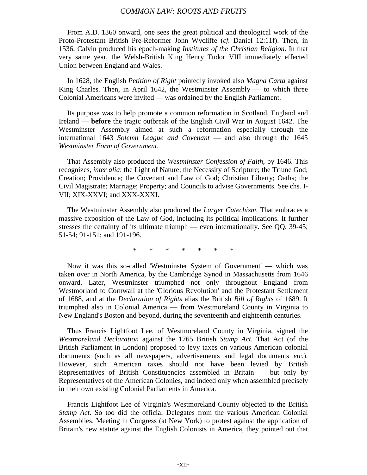From A.D. 1360 onward, one sees the great political and theological work of the Proto-Protestant British Pre-Reformer John Wycliffe (*cf.* Daniel 12:11f). Then, in 1536, Calvin produced his epoch-making *Institutes of the Christian Religion*. In that very same year, the Welsh-British King Henry Tudor VIII immediately effected Union between England and Wales.

In 1628, the English *Petition of Right* pointedly invoked also *Magna Carta* against King Charles. Then, in April 1642, the Westminster Assembly  $-$  to which three Colonial Americans were invited — was ordained by the English Parliament.

Its purpose was to help promote a common reformation in Scotland, England and Ireland — **before** the tragic outbreak of the English Civil War in August 1642. The Westminster Assembly aimed at such a reformation especially through the international 1643 *Solemn League and Covenant* — and also through the 1645 *Westminster Form of Government*.

That Assembly also produced the *Westminster Confession of Faith*, by 1646. This recognizes, *inter alia*: the Light of Nature; the Necessity of Scripture; the Triune God; Creation; Providence; the Covenant and Law of God; Christian Liberty; Oaths; the Civil Magistrate; Marriage; Property; and Councils to advise Governments. See chs. I-VII; XIX-XXVI; and XXX-XXXI.

The Westminster Assembly also produced the *Larger Catechism*. That embraces a massive exposition of the Law of God, including its political implications. It further stresses the certainty of its ultimate triumph — even internationally. See QQ. 39-45; 51-54; 91-151; and 191-196.

\* \* \* \* \* \* \*

Now it was this so-called 'Westminster System of Government' — which was taken over in North America, by the Cambridge Synod in Massachusetts from 1646 onward. Later, Westminster triumphed not only throughout England from Westmorland to Cornwall at the 'Glorious Revolution' and the Protestant Settlement of 1688, and at the *Declaration of Rights* alias the British *Bill of Rights* of 1689. It triumphed also in Colonial America — from Westmoreland County in Virginia to New England's Boston and beyond, during the seventeenth and eighteenth centuries.

Thus Francis Lightfoot Lee, of Westmoreland County in Virginia, signed the *Westmoreland Declaration* against the 1765 British *Stamp Act*. That Act (of the British Parliament in London) proposed to levy taxes on various American colonial documents (such as all newspapers, advertisements and legal documents *etc.*). However, such American taxes should not have been levied by British Representatives of British Constituencies assembled in Britain — but only by Representatives of the American Colonies, and indeed only when assembled precisely in their own existing Colonial Parliaments in America.

Francis Lightfoot Lee of Virginia's Westmoreland County objected to the British *Stamp Act*. So too did the official Delegates from the various American Colonial Assemblies. Meeting in Congress (at New York) to protest against the application of Britain's new statute against the English Colonists in America, they pointed out that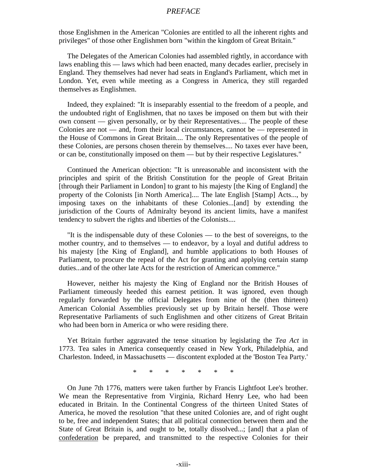#### *PREFACE*

those Englishmen in the American "Colonies are entitled to all the inherent rights and privileges" of those other Englishmen born "within the kingdom of Great Britain."

The Delegates of the American Colonies had assembled rightly, in accordance with laws enabling this — laws which had been enacted, many decades earlier, precisely in England. They themselves had never had seats in England's Parliament, which met in London. Yet, even while meeting as a Congress in America, they still regarded themselves as Englishmen.

Indeed, they explained: "It is inseparably essential to the freedom of a people, and the undoubted right of Englishmen, that no taxes be imposed on them but with their own consent — given personally, or by their Representatives.... The people of these Colonies are not — and, from their local circumstances, cannot be — represented in the House of Commons in Great Britain.... The only Representatives of the people of these Colonies, are persons chosen therein by themselves.... No taxes ever have been, or can be, constitutionally imposed on them — but by their respective Legislatures."

Continued the American objection: "It is unreasonable and inconsistent with the principles and spirit of the British Constitution for the people of Great Britain [through their Parliament in London] to grant to his majesty [the King of England] the property of the Colonists [in North America].... The late English [Stamp] Acts..., by imposing taxes on the inhabitants of these Colonies...[and] by extending the jurisdiction of the Courts of Admiralty beyond its ancient limits, have a manifest tendency to subvert the rights and liberties of the Colonists....

"It is the indispensable duty of these Colonies — to the best of sovereigns, to the mother country, and to themselves — to endeavor, by a loyal and dutiful address to his majesty [the King of England], and humble applications to both Houses of Parliament, to procure the repeal of the Act for granting and applying certain stamp duties...and of the other late Acts for the restriction of American commerce."

However, neither his majesty the King of England nor the British Houses of Parliament timeously heeded this earnest petition. It was ignored, even though regularly forwarded by the official Delegates from nine of the (then thirteen) American Colonial Assemblies previously set up by Britain herself. Those were Representative Parliaments of such Englishmen and other citizens of Great Britain who had been born in America or who were residing there.

Yet Britain further aggravated the tense situation by legislating the *Tea Act* in 1773. Tea sales in America consequently ceased in New York, Philadelphia, and Charleston. Indeed, in Massachusetts — discontent exploded at the 'Boston Tea Party.'

\* \* \* \* \* \* \*

On June 7th 1776, matters were taken further by Francis Lightfoot Lee's brother. We mean the Representative from Virginia, Richard Henry Lee, who had been educated in Britain. In the Continental Congress of the thirteen United States of America, he moved the resolution "that these united Colonies are, and of right ought to be, free and independent States; that all political connection between them and the State of Great Britain is, and ought to be, totally dissolved...; [and] that a plan of confederation be prepared, and transmitted to the respective Colonies for their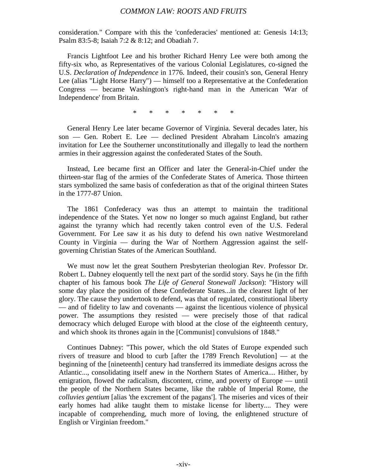consideration." Compare with this the 'confederacies' mentioned at: Genesis 14:13; Psalm 83:5-8; Isaiah 7:2 & 8:12; and Obadiah 7.

Francis Lightfoot Lee and his brother Richard Henry Lee were both among the fifty-six who, as Representatives of the various Colonial Legislatures, co-signed the U.S. *Declaration of Independence* in 1776. Indeed, their cousin's son, General Henry Lee (alias "Light Horse Harry") — himself too a Representative at the Confederation Congress — became Washington's right-hand man in the American 'War of Independence' from Britain.

\* \* \* \* \* \* \*

General Henry Lee later became Governor of Virginia. Several decades later, his son — Gen. Robert E. Lee — declined President Abraham Lincoln's amazing invitation for Lee the Southerner unconstitutionally and illegally to lead the northern armies in their aggression against the confederated States of the South.

Instead, Lee became first an Officer and later the General-in-Chief under the thirteen-star flag of the armies of the Confederate States of America. Those thirteen stars symbolized the same basis of confederation as that of the original thirteen States in the 1777-87 Union.

The 1861 Confederacy was thus an attempt to maintain the traditional independence of the States. Yet now no longer so much against England, but rather against the tyranny which had recently taken control even of the U.S. Federal Government. For Lee saw it as his duty to defend his own native Westmoreland County in Virginia — during the War of Northern Aggression against the selfgoverning Christian States of the American Southland.

We must now let the great Southern Presbyterian theologian Rev. Professor Dr. Robert L. Dabney eloquently tell the next part of the sordid story. Says he (in the fifth chapter of his famous book *The Life of General Stonewall Jackson*): "History will some day place the position of these Confederate States...in the clearest light of her glory. The cause they undertook to defend, was that of regulated, constitutional liberty — and of fidelity to law and covenants — against the licentious violence of physical power. The assumptions they resisted — were precisely those of that radical democracy which deluged Europe with blood at the close of the eighteenth century, and which shook its thrones again in the [Communist] convulsions of 1848."

Continues Dabney: "This power, which the old States of Europe expended such rivers of treasure and blood to curb [after the 1789 French Revolution] — at the beginning of the [nineteenth] century had transferred its immediate designs across the Atlantic..., consolidating itself anew in the Northern States of America.... Hither, by emigration, flowed the radicalism, discontent, crime, and poverty of Europe — until the people of the Northern States became, like the rabble of Imperial Rome, the *colluvies gentium* [alias 'the excrement of the pagans']. The miseries and vices of their early homes had alike taught them to mistake license for liberty.... They were incapable of comprehending, much more of loving, the enlightened structure of English or Virginian freedom."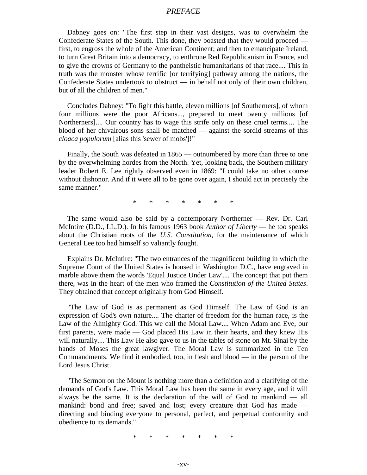#### *PREFACE*

Dabney goes on: "The first step in their vast designs, was to overwhelm the Confederate States of the South. This done, they boasted that they would proceed first, to engross the whole of the American Continent; and then to emancipate Ireland, to turn Great Britain into a democracy, to enthrone Red Republicanism in France, and to give the crowns of Germany to the pantheistic humanitarians of that race.... This in truth was the monster whose terrific [or terrifying] pathway among the nations, the Confederate States undertook to obstruct — in behalf not only of their own children, but of all the children of men."

Concludes Dabney: "To fight this battle, eleven millions [of Southerners], of whom four millions were the poor Africans..., prepared to meet twenty millions [of Northerners].... Our country has to wage this strife only on these cruel terms.... The blood of her chivalrous sons shall be matched — against the sordid streams of this *cloaca populorum* [alias this 'sewer of mobs']!"

Finally, the South was defeated in 1865 — outnumbered by more than three to one by the overwhelming hordes from the North. Yet, looking back, the Southern military leader Robert E. Lee rightly observed even in 1869: "I could take no other course without dishonor. And if it were all to be gone over again, I should act in precisely the same manner."

\* \* \* \* \* \* \*

The same would also be said by a contemporary Northerner — Rev. Dr. Carl McIntire (D.D., LL.D.). In his famous 1963 book *Author of Liberty* — he too speaks about the Christian roots of the *U.S. Constitution*, for the maintenance of which General Lee too had himself so valiantly fought.

Explains Dr. McIntire: "The two entrances of the magnificent building in which the Supreme Court of the United States is housed in Washington D.C., have engraved in marble above them the words 'Equal Justice Under Law'.... The concept that put them there, was in the heart of the men who framed the *Constitution of the United States*. They obtained that concept originally from God Himself.

"The Law of God is as permanent as God Himself. The Law of God is an expression of God's own nature.... The charter of freedom for the human race, is the Law of the Almighty God. This we call the Moral Law.... When Adam and Eve, our first parents, were made — God placed His Law in their hearts, and they knew His will naturally.... This Law He also gave to us in the tables of stone on Mt. Sinai by the hands of Moses the great lawgiver. The Moral Law is summarized in the Ten Commandments. We find it embodied, too, in flesh and blood — in the person of the Lord Jesus Christ.

"The Sermon on the Mount is nothing more than a definition and a clarifying of the demands of God's Law. This Moral Law has been the same in every age, and it will always be the same. It is the declaration of the will of God to mankind — all mankind: bond and free; saved and lost; every creature that God has made directing and binding everyone to personal, perfect, and perpetual conformity and obedience to its demands."

\* \* \* \* \* \* \*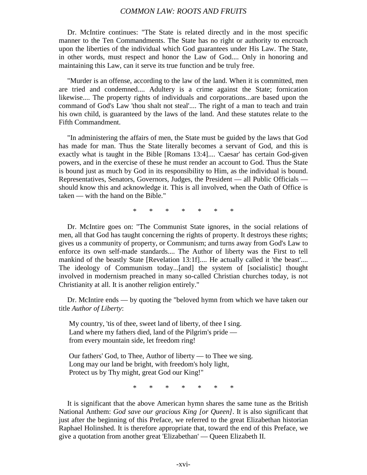Dr. McIntire continues: "The State is related directly and in the most specific manner to the Ten Commandments. The State has no right or authority to encroach upon the liberties of the individual which God guarantees under His Law. The State, in other words, must respect and honor the Law of God.... Only in honoring and maintaining this Law, can it serve its true function and be truly free.

"Murder is an offense, according to the law of the land. When it is committed, men are tried and condemned.... Adultery is a crime against the State; fornication likewise.... The property rights of individuals and corporations...are based upon the command of God's Law 'thou shalt not steal'.... The right of a man to teach and train his own child, is guaranteed by the laws of the land. And these statutes relate to the Fifth Commandment.

"In administering the affairs of men, the State must be guided by the laws that God has made for man. Thus the State literally becomes a servant of God, and this is exactly what is taught in the Bible [Romans 13:4].... 'Caesar' has certain God-given powers, and in the exercise of these he must render an account to God. Thus the State is bound just as much by God in its responsibility to Him, as the individual is bound. Representatives, Senators, Governors, Judges, the President — all Public Officials should know this and acknowledge it. This is all involved, when the Oath of Office is taken — with the hand on the Bible."

\* \* \* \* \* \* \*

Dr. McIntire goes on: "The Communist State ignores, in the social relations of men, all that God has taught concerning the rights of property. It destroys these rights; gives us a community of property, or Communism; and turns away from God's Law to enforce its own self-made standards.... The Author of liberty was the First to tell mankind of the beastly State [Revelation 13:1f].... He actually called it 'the beast'.... The ideology of Communism today...[and] the system of [socialistic] thought involved in modernism preached in many so-called Christian churches today, is not Christianity at all. It is another religion entirely."

Dr. McIntire ends — by quoting the "beloved hymn from which we have taken our title *Author of Liberty*:

My country, 'tis of thee, sweet land of liberty, of thee I sing. Land where my fathers died, land of the Pilgrim's pride from every mountain side, let freedom ring!

Our fathers' God, to Thee, Author of liberty — to Thee we sing. Long may our land be bright, with freedom's holy light, Protect us by Thy might, great God our King!"

\* \* \* \* \* \* \*

It is significant that the above American hymn shares the same tune as the British National Anthem: *God save our gracious King [or Queen]*. It is also significant that just after the beginning of this Preface, we referred to the great Elizabethan historian Raphael Holinshed. It is therefore appropriate that, toward the end of this Preface, we give a quotation from another great 'Elizabethan' — Queen Elizabeth II.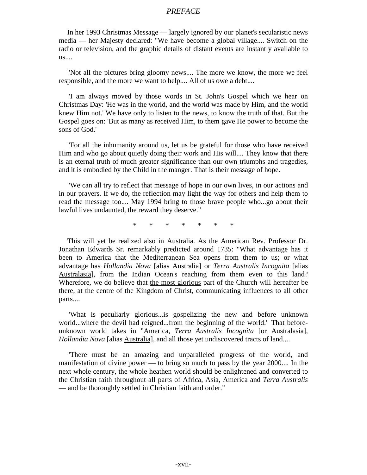#### *PREFACE*

In her 1993 Christmas Message — largely ignored by our planet's secularistic news media — her Majesty declared: "We have become a global village.... Switch on the radio or television, and the graphic details of distant events are instantly available to us....

"Not all the pictures bring gloomy news.... The more we know, the more we feel responsible, and the more we want to help.... All of us owe a debt....

"I am always moved by those words in St. John's Gospel which we hear on Christmas Day: 'He was in the world, and the world was made by Him, and the world knew Him not.' We have only to listen to the news, to know the truth of that. But the Gospel goes on: 'But as many as received Him, to them gave He power to become the sons of God.'

"For all the inhumanity around us, let us be grateful for those who have received Him and who go about quietly doing their work and His will.... They know that there is an eternal truth of much greater significance than our own triumphs and tragedies, and it is embodied by the Child in the manger. That is their message of hope.

"We can all try to reflect that message of hope in our own lives, in our actions and in our prayers. If we do, the reflection may light the way for others and help them to read the message too.... May 1994 bring to those brave people who...go about their lawful lives undaunted, the reward they deserve."

\* \* \* \* \* \* \*

This will yet be realized also in Australia. As the American Rev. Professor Dr. Jonathan Edwards Sr. remarkably predicted around 1735: "What advantage has it been to America that the Mediterranean Sea opens from them to us; or what advantage has *Hollandia Nova* [alias Australia] or *Terra Australis Incognita* [alias Australasia], from the Indian Ocean's reaching from them even to this land? Wherefore, we do believe that the most glorious part of the Church will hereafter be there, at the centre of the Kingdom of Christ, communicating influences to all other parts....

"What is peculiarly glorious...is gospelizing the new and before unknown world...where the devil had reigned...from the beginning of the world." That beforeunknown world takes in "America, *Terra Australis Incognita* [or Australasia], *Hollandia Nova* [alias **Australia**], and all those yet undiscovered tracts of land....

"There must be an amazing and unparalleled progress of the world, and manifestation of divine power — to bring so much to pass by the year 2000.... In the next whole century, the whole heathen world should be enlightened and converted to the Christian faith throughout all parts of Africa, Asia, America and *Terra Australis* — and be thoroughly settled in Christian faith and order."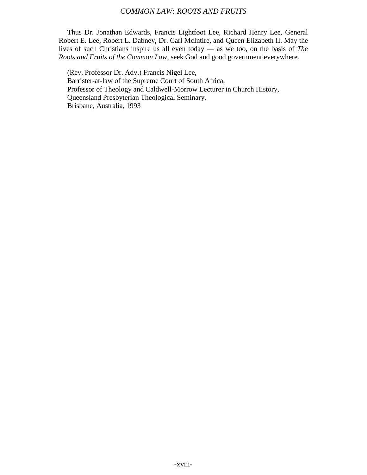Thus Dr. Jonathan Edwards, Francis Lightfoot Lee, Richard Henry Lee, General Robert E. Lee, Robert L. Dabney, Dr. Carl McIntire, and Queen Elizabeth II. May the lives of such Christians inspire us all even today — as we too, on the basis of *The Roots and Fruits of the Common Law*, seek God and good government everywhere.

(Rev. Professor Dr. Adv.) Francis Nigel Lee, Barrister-at-law of the Supreme Court of South Africa, Professor of Theology and Caldwell-Morrow Lecturer in Church History, Queensland Presbyterian Theological Seminary, Brisbane, Australia, 1993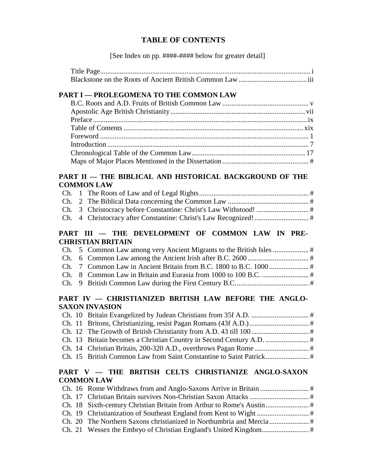## **TABLE OF CONTENTS**

[See Index on pp. ####-#### below for greater detail]

## **PART I — PROLEGOMENA TO THE COMMON LAW**

## PART II — THE BIBLICAL AND HISTORICAL BACKGROUND OF THE **COMMON LAW**

## PART III - THE DEVELOPMENT OF COMMON LAW IN PRE-**CHRISTIAN BRITAIN**

## PART IV - CHRISTIANIZED BRITISH LAW BEFORE THE ANGLO-**SAXON INVASION**

## **PART V — THE BRITISH CELTS CHRISTIANIZE ANGLO-SAXON COMMON LAW**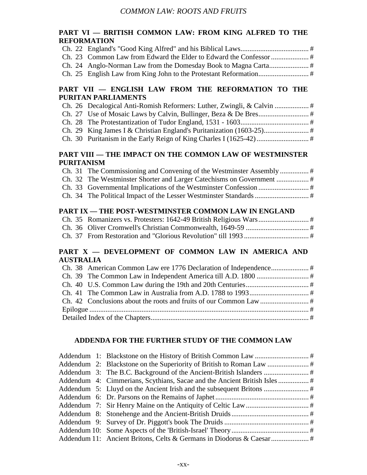## **PART VI — BRITISH COMMON LAW: FROM KING ALFRED TO THE REFORMATION**

## **PART VII — ENGLISH LAW FROM THE REFORMATION TO THE PURITAN PARLIAMENTS**

## **PART VIII — THE IMPACT ON THE COMMON LAW OF WESTMINSTER PURITANISM**

| , UNITABRI |  |
|------------|--|
|            |  |
|            |  |
|            |  |

Ch. 34 The Political Impact of the Lesser Westminster Standards .............................. #

## **PART IX — THE POST-WESTMINSTER COMMON LAW IN ENGLAND**

## **PART X — DEVELOPMENT OF COMMON LAW IN AMERICA AND AUSTRALIA**

## **ADDENDA FOR THE FURTHER STUDY OF THE COMMON LAW**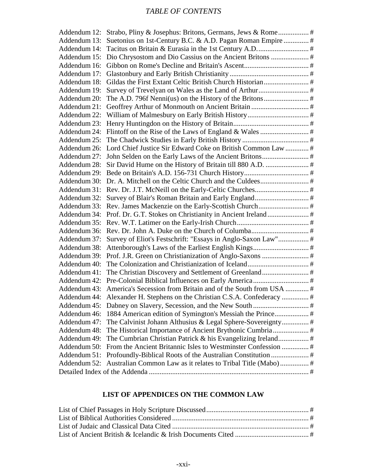# *TABLE OF CONTENTS*

| Addendum 13: | Suetonius on 1st-Century B.C. & A.D. Pagan Roman Empire  #                 |  |
|--------------|----------------------------------------------------------------------------|--|
| Addendum 14: |                                                                            |  |
| Addendum 15: |                                                                            |  |
| Addendum 16: |                                                                            |  |
| Addendum 17: |                                                                            |  |
| Addendum 18: |                                                                            |  |
| Addendum 19: |                                                                            |  |
| Addendum 20: |                                                                            |  |
| Addendum 21: |                                                                            |  |
| Addendum 22: |                                                                            |  |
| Addendum 23: |                                                                            |  |
| Addendum 24: |                                                                            |  |
| Addendum 25: |                                                                            |  |
| Addendum 26: | Lord Chief Justice Sir Edward Coke on British Common Law  #                |  |
| Addendum 27: |                                                                            |  |
| Addendum 28: |                                                                            |  |
| Addendum 29: |                                                                            |  |
|              |                                                                            |  |
|              |                                                                            |  |
| Addendum 32: |                                                                            |  |
|              |                                                                            |  |
| Addendum 34: |                                                                            |  |
| Addendum 35: |                                                                            |  |
| Addendum 36: |                                                                            |  |
| Addendum 37: | Survey of Eliot's Festschrift: "Essays in Anglo-Saxon Law" #               |  |
| Addendum 38: |                                                                            |  |
| Addendum 39: |                                                                            |  |
| Addendum 40: |                                                                            |  |
| Addendum 41: |                                                                            |  |
| Addendum 42: |                                                                            |  |
|              | Addendum 43: America's Secession from Britain and of the South from USA  # |  |
|              | Addendum 44: Alexander H. Stephens on the Christian C.S.A. Confederacy  #  |  |
| Addendum 45: |                                                                            |  |
| Addendum 46: | 1884 American edition of Symington's Messiah the Prince #                  |  |
| Addendum 47: |                                                                            |  |
| Addendum 48: |                                                                            |  |
| Addendum 49: |                                                                            |  |
| Addendum 50: |                                                                            |  |
| Addendum 51: |                                                                            |  |
| Addendum 52: |                                                                            |  |
|              |                                                                            |  |
|              |                                                                            |  |

## **LIST OF APPENDICES ON THE COMMON LAW**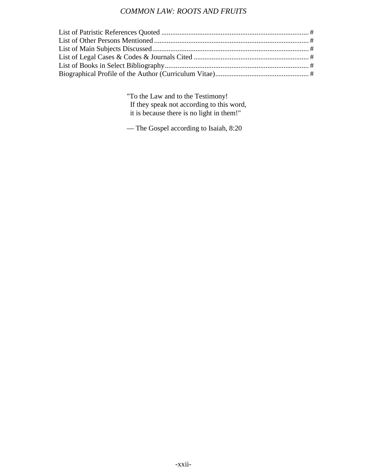"To the Law and to the Testimony! If they speak not according to this word, it is because there is no light in them!"

— The Gospel according to Isaiah, 8:20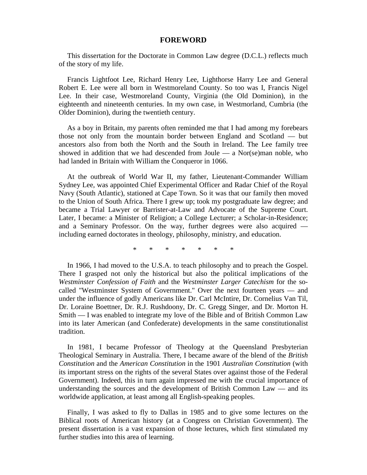#### **FOREWORD**

This dissertation for the Doctorate in Common Law degree (D.C.L.) reflects much of the story of my life.

Francis Lightfoot Lee, Richard Henry Lee, Lighthorse Harry Lee and General Robert E. Lee were all born in Westmoreland County. So too was I, Francis Nigel Lee. In their case, Westmoreland County, Virginia (the Old Dominion), in the eighteenth and nineteenth centuries. In my own case, in Westmorland, Cumbria (the Older Dominion), during the twentieth century.

As a boy in Britain, my parents often reminded me that I had among my forebears those not only from the mountain border between England and Scotland — but ancestors also from both the North and the South in Ireland. The Lee family tree showed in addition that we had descended from Joule — a Nor(se)man noble, who had landed in Britain with William the Conqueror in 1066.

At the outbreak of World War II, my father, Lieutenant-Commander William Sydney Lee, was appointed Chief Experimental Officer and Radar Chief of the Royal Navy (South Atlantic), stationed at Cape Town. So it was that our family then moved to the Union of South Africa. There I grew up; took my postgraduate law degree; and became a Trial Lawyer or Barrister-at-Law and Advocate of the Supreme Court. Later, I became: a Minister of Religion; a College Lecturer; a Scholar-in-Residence; and a Seminary Professor. On the way, further degrees were also acquired including earned doctorates in theology, philosophy, ministry, and education.

\* \* \* \* \* \* \*

In 1966, I had moved to the U.S.A. to teach philosophy and to preach the Gospel. There I grasped not only the historical but also the political implications of the *Westminster Confession of Faith* and the *Westminster Larger Catechism* for the socalled "Westminster System of Government." Over the next fourteen years — and under the influence of godly Americans like Dr. Carl McIntire, Dr. Cornelius Van Til, Dr. Loraine Boettner, Dr. R.J. Rushdoony, Dr. C. Gregg Singer, and Dr. Morton H. Smith — I was enabled to integrate my love of the Bible and of British Common Law into its later American (and Confederate) developments in the same constitutionalist tradition.

In 1981, I became Professor of Theology at the Queensland Presbyterian Theological Seminary in Australia. There, I became aware of the blend of the *British Constitution* and the *American Constitution* in the 1901 *Australian Constitution* (with its important stress on the rights of the several States over against those of the Federal Government). Indeed, this in turn again impressed me with the crucial importance of understanding the sources and the development of British Common Law — and its worldwide application, at least among all English-speaking peoples.

Finally, I was asked to fly to Dallas in 1985 and to give some lectures on the Biblical roots of American history (at a Congress on Christian Government). The present dissertation is a vast expansion of those lectures, which first stimulated my further studies into this area of learning.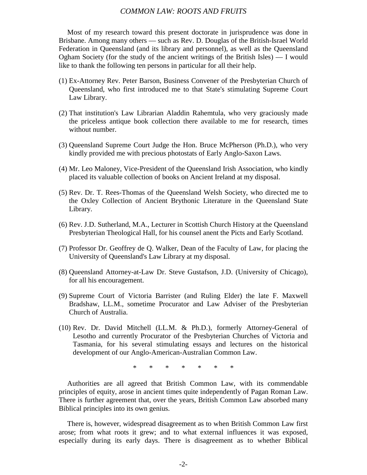Most of my research toward this present doctorate in jurisprudence was done in Brisbane. Among many others — such as Rev. D. Douglas of the British-Israel World Federation in Queensland (and its library and personnel), as well as the Queensland Ogham Society (for the study of the ancient writings of the British Isles) — I would like to thank the following ten persons in particular for all their help.

- (1) Ex-Attorney Rev. Peter Barson, Business Convener of the Presbyterian Church of Queensland, who first introduced me to that State's stimulating Supreme Court Law Library.
- (2) That institution's Law Librarian Aladdin Rahemtula, who very graciously made the priceless antique book collection there available to me for research, times without number.
- (3) Queensland Supreme Court Judge the Hon. Bruce McPherson (Ph.D.), who very kindly provided me with precious photostats of Early Anglo-Saxon Laws.
- (4) Mr. Leo Maloney, Vice-President of the Queensland Irish Association, who kindly placed its valuable collection of books on Ancient Ireland at my disposal.
- (5) Rev. Dr. T. Rees-Thomas of the Queensland Welsh Society, who directed me to the Oxley Collection of Ancient Brythonic Literature in the Queensland State Library.
- (6) Rev. J.D. Sutherland, M.A., Lecturer in Scottish Church History at the Queensland Presbyterian Theological Hall, for his counsel anent the Picts and Early Scotland.
- (7) Professor Dr. Geoffrey de Q. Walker, Dean of the Faculty of Law, for placing the University of Queensland's Law Library at my disposal.
- (8) Queensland Attorney-at-Law Dr. Steve Gustafson, J.D. (University of Chicago), for all his encouragement.
- (9) Supreme Court of Victoria Barrister (and Ruling Elder) the late F. Maxwell Bradshaw, LL.M., sometime Procurator and Law Adviser of the Presbyterian Church of Australia.
- (10) Rev. Dr. David Mitchell (LL.M. & Ph.D.), formerly Attorney-General of Lesotho and currently Procurator of the Presbyterian Churches of Victoria and Tasmania, for his several stimulating essays and lectures on the historical development of our Anglo-American-Australian Common Law.

\* \* \* \* \* \* \*

Authorities are all agreed that British Common Law, with its commendable principles of equity, arose in ancient times quite independently of Pagan Roman Law. There is further agreement that, over the years, British Common Law absorbed many Biblical principles into its own genius.

There is, however, widespread disagreement as to when British Common Law first arose; from what roots it grew; and to what external influences it was exposed, especially during its early days. There is disagreement as to whether Biblical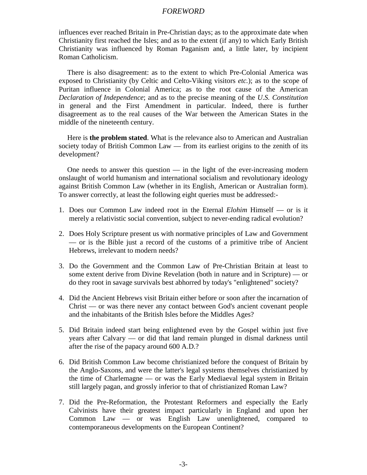#### *FOREWORD*

influences ever reached Britain in Pre-Christian days; as to the approximate date when Christianity first reached the Isles; and as to the extent (if any) to which Early British Christianity was influenced by Roman Paganism and, a little later, by incipient Roman Catholicism.

There is also disagreement: as to the extent to which Pre-Colonial America was exposed to Christianity (by Celtic and Celto-Viking visitors *etc.*); as to the scope of Puritan influence in Colonial America; as to the root cause of the American *Declaration of Independence*; and as to the precise meaning of the *U.S. Constitution* in general and the First Amendment in particular. Indeed, there is further disagreement as to the real causes of the War between the American States in the middle of the nineteenth century.

Here is **the problem stated**. What is the relevance also to American and Australian society today of British Common Law — from its earliest origins to the zenith of its development?

One needs to answer this question  $-$  in the light of the ever-increasing modern onslaught of world humanism and international socialism and revolutionary ideology against British Common Law (whether in its English, American or Australian form). To answer correctly, at least the following eight queries must be addressed:-

- 1. Does our Common Law indeed root in the Eternal *Elohim* Himself or is it merely a relativistic social convention, subject to never-ending radical evolution?
- 2. Does Holy Scripture present us with normative principles of Law and Government — or is the Bible just a record of the customs of a primitive tribe of Ancient Hebrews, irrelevant to modern needs?
- 3. Do the Government and the Common Law of Pre-Christian Britain at least to some extent derive from Divine Revelation (both in nature and in Scripture) — or do they root in savage survivals best abhorred by today's "enlightened" society?
- 4. Did the Ancient Hebrews visit Britain either before or soon after the incarnation of Christ — or was there never any contact between God's ancient covenant people and the inhabitants of the British Isles before the Middles Ages?
- 5. Did Britain indeed start being enlightened even by the Gospel within just five years after Calvary — or did that land remain plunged in dismal darkness until after the rise of the papacy around 600 A.D.?
- 6. Did British Common Law become christianized before the conquest of Britain by the Anglo-Saxons, and were the latter's legal systems themselves christianized by the time of Charlemagne — or was the Early Mediaeval legal system in Britain still largely pagan, and grossly inferior to that of christianized Roman Law?
- 7. Did the Pre-Reformation, the Protestant Reformers and especially the Early Calvinists have their greatest impact particularly in England and upon her Common Law — or was English Law unenlightened, compared to contemporaneous developments on the European Continent?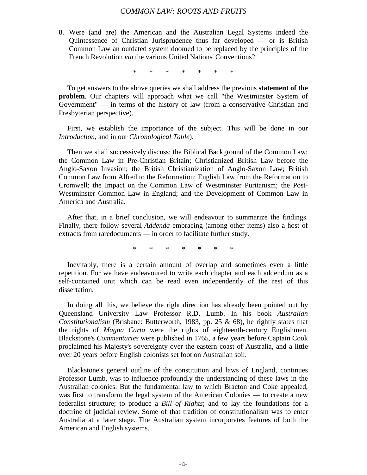8. Were (and are) the American and the Australian Legal Systems indeed the Quintessence of Christian Jurisprudence thus far developed — or is British Common Law an outdated system doomed to be replaced by the principles of the French Revolution *via* the various United Nations' Conventions?

\* \* \* \* \* \* \*

To get answers to the above queries we shall address the previous **statement of the problem**. Our chapters will approach what we call "the Westminster System of Government" — in terms of the history of law (from a conservative Christian and Presbyterian perspective).

First, we establish the importance of the subject. This will be done in our *Introduction*, and in our *Chronological Table*).

Then we shall successively discuss: the Biblical Background of the Common Law; the Common Law in Pre-Christian Britain; Christianized British Law before the Anglo-Saxon Invasion; the British Christianization of Anglo-Saxon Law; British Common Law from Alfred to the Reformation; English Law from the Reformation to Cromwell; the Impact on the Common Law of Westminster Puritanism; the Post-Westminster Common Law in England; and the Development of Common Law in America and Australia.

After that, in a brief conclusion, we will endeavour to summarize the findings. Finally, there follow several *Addenda* embracing (among other items) also a host of extracts from raredocuments — in order to facilitate further study.

\* \* \* \* \* \* \*

Inevitably, there is a certain amount of overlap and sometimes even a little repetition. For we have endeavoured to write each chapter and each addendum as a self-contained unit which can be read even independently of the rest of this dissertation.

In doing all this, we believe the right direction has already been pointed out by Queensland University Law Professor R.D. Lumb. In his book *Australian Constitutionalism* (Brisbane: Butterworth, 1983, pp. 25 & 68), he rightly states that the rights of *Magna Carta* were the rights of eighteenth-century Englishmen. Blackstone's *Commentaries* were published in 1765, a few years before Captain Cook proclaimed his Majesty's sovereignty over the eastern coast of Australia, and a little over 20 years before English colonists set foot on Australian soil.

Blackstone's general outline of the constitution and laws of England, continues Professor Lumb, was to influence profoundly the understanding of these laws in the Australian colonies. But the fundamental law to which Bracton and Coke appealed, was first to transform the legal system of the American Colonies — to create a new federalist structure; to produce a *Bill of Rights*; and to lay the foundations for a doctrine of judicial review. Some of that tradition of constitutionalism was to enter Australia at a later stage. The Australian system incorporates features of both the American and English systems.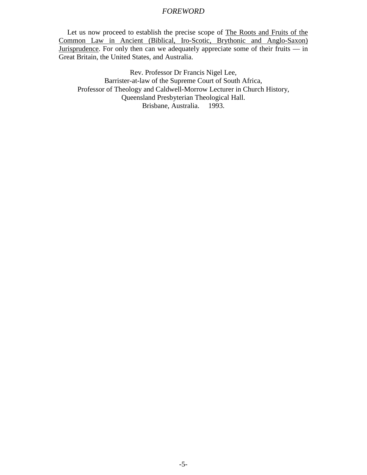## *FOREWORD*

Let us now proceed to establish the precise scope of The Roots and Fruits of the Common Law in Ancient (Biblical, Iro-Scotic, Brythonic and Anglo-Saxon) Jurisprudence. For only then can we adequately appreciate some of their fruits — in Great Britain, the United States, and Australia.

Rev. Professor Dr Francis Nigel Lee, Barrister-at-law of the Supreme Court of South Africa, Professor of Theology and Caldwell-Morrow Lecturer in Church History, Queensland Presbyterian Theological Hall. Brisbane, Australia. 1993.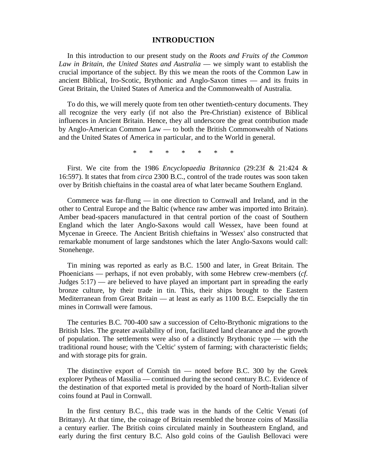#### **INTRODUCTION**

In this introduction to our present study on the *Roots and Fruits of the Common Law in Britain, the United States and Australia* — we simply want to establish the crucial importance of the subject. By this we mean the roots of the Common Law in ancient Biblical, Iro-Scotic, Brythonic and Anglo-Saxon times — and its fruits in Great Britain, the United States of America and the Commonwealth of Australia.

To do this, we will merely quote from ten other twentieth-century documents. They all recognize the very early (if not also the Pre-Christian) existence of Biblical influences in Ancient Britain. Hence, they all underscore the great contribution made by Anglo-American Common Law — to both the British Commonwealth of Nations and the United States of America in particular, and to the World in general.

\* \* \* \* \* \* \*

First. We cite from the 1986 *Encyclopaedia Britannica* (29:23f & 21:424 & 16:597). It states that from *circa* 2300 B.C., control of the trade routes was soon taken over by British chieftains in the coastal area of what later became Southern England.

Commerce was far-flung — in one direction to Cornwall and Ireland, and in the other to Central Europe and the Baltic (whence raw amber was imported into Britain). Amber bead-spacers manufactured in that central portion of the coast of Southern England which the later Anglo-Saxons would call Wessex, have been found at Mycenae in Greece. The Ancient British chieftains in 'Wessex' also constructed that remarkable monument of large sandstones which the later Anglo-Saxons would call: Stonehenge.

Tin mining was reported as early as B.C. 1500 and later, in Great Britain. The Phoenicians — perhaps, if not even probably, with some Hebrew crew-members (*cf.* Judges 5:17) — are believed to have played an important part in spreading the early bronze culture, by their trade in tin. This, their ships brought to the Eastern Mediterranean from Great Britain — at least as early as 1100 B.C. Esepcially the tin mines in Cornwall were famous.

The centuries B.C. 700-400 saw a succession of Celto-Brythonic migrations to the British Isles. The greater availability of iron, facilitated land clearance and the growth of population. The settlements were also of a distinctly Brythonic type  $-$  with the traditional round house; with the 'Celtic' system of farming; with characteristic fields; and with storage pits for grain.

The distinctive export of Cornish tin — noted before B.C. 300 by the Greek explorer Pytheas of Massilia — continued during the second century B.C. Evidence of the destination of that exported metal is provided by the hoard of North-Italian silver coins found at Paul in Cornwall.

In the first century B.C., this trade was in the hands of the Celtic Venati (of Brittany). At that time, the coinage of Britain resembled the bronze coins of Massilia a century earlier. The British coins circulated mainly in Southeastern England, and early during the first century B.C. Also gold coins of the Gaulish Bellovaci were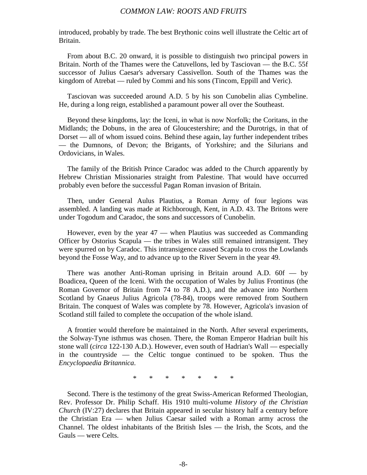introduced, probably by trade. The best Brythonic coins well illustrate the Celtic art of Britain.

From about B.C. 20 onward, it is possible to distinguish two principal powers in Britain. North of the Thames were the Catuvellons, led by Tasciovan — the B.C. 55f successor of Julius Caesar's adversary Cassivellon. South of the Thames was the kingdom of Atrebat — ruled by Commi and his sons (Tincom, Eppill and Veric).

Tasciovan was succeeded around A.D. 5 by his son Cunobelin alias Cymbeline. He, during a long reign, established a paramount power all over the Southeast.

Beyond these kingdoms, lay: the Iceni, in what is now Norfolk; the Coritans, in the Midlands; the Dobuns, in the area of Gloucestershire; and the Durotrigs, in that of Dorset — all of whom issued coins. Behind these again, lay further independent tribes — the Dumnons, of Devon; the Brigants, of Yorkshire; and the Silurians and Ordovicians, in Wales.

The family of the British Prince Caradoc was added to the Church apparently by Hebrew Christian Missionaries straight from Palestine. That would have occurred probably even before the successful Pagan Roman invasion of Britain.

Then, under General Aulus Plautius, a Roman Army of four legions was assembled. A landing was made at Richborough, Kent, in A.D. 43. The Britons were under Togodum and Caradoc, the sons and successors of Cunobelin.

However, even by the year 47 — when Plautius was succeeded as Commanding Officer by Ostorius Scapula — the tribes in Wales still remained intransigent. They were spurred on by Caradoc. This intransigence caused Scapula to cross the Lowlands beyond the Fosse Way, and to advance up to the River Severn in the year 49.

There was another Anti-Roman uprising in Britain around A.D. 60f — by Boadicea, Queen of the Iceni. With the occupation of Wales by Julius Frontinus (the Roman Governor of Britain from 74 to 78 A.D.), and the advance into Northern Scotland by Gnaeus Julius Agricola (78-84), troops were removed from Southern Britain. The conquest of Wales was complete by 78. However, Agricola's invasion of Scotland still failed to complete the occupation of the whole island.

A frontier would therefore be maintained in the North. After several experiments, the Solway-Tyne isthmus was chosen. There, the Roman Emperor Hadrian built his stone wall (*circa* 122-130 A.D.). However, even south of Hadrian's Wall — especially in the countryside — the Celtic tongue continued to be spoken. Thus the *Encyclopaedia Britannica*.

\* \* \* \* \* \* \*

Second. There is the testimony of the great Swiss-American Reformed Theologian, Rev. Professor Dr. Philip Schaff. His 1910 multi-volume *History of the Christian Church* (IV:27) declares that Britain appeared in secular history half a century before the Christian Era — when Julius Caesar sailed with a Roman army across the Channel. The oldest inhabitants of the British Isles — the Irish, the Scots, and the Gauls — were Celts.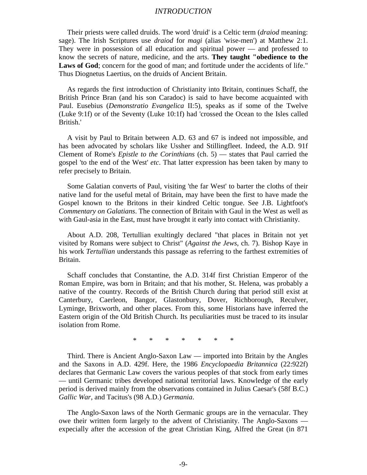#### *INTRODUCTION*

Their priests were called druids. The word 'druid' is a Celtic term (*draiod* meaning: sage). The Irish Scriptures use *draiod* for *magi* (alias 'wise-men') at Matthew 2:1. They were in possession of all education and spiritual power — and professed to know the secrets of nature, medicine, and the arts. **They taught "obedience to the** Laws of God; concern for the good of man; and fortitude under the accidents of life." Thus Diognetus Laertius, on the druids of Ancient Britain.

As regards the first introduction of Christianity into Britain, continues Schaff, the British Prince Bran (and his son Caradoc) is said to have become acquainted with Paul. Eusebius (*Demonstratio Evangelica* II:5), speaks as if some of the Twelve (Luke 9:1f) or of the Seventy (Luke 10:1f) had 'crossed the Ocean to the Isles called British.'

A visit by Paul to Britain between A.D. 63 and 67 is indeed not impossible, and has been advocated by scholars like Ussher and Stillingfleet. Indeed, the A.D. 91f Clement of Rome's *Epistle to the Corinthians* (ch. 5) — states that Paul carried the gospel 'to the end of the West' *etc*. That latter expression has been taken by many to refer precisely to Britain.

Some Galatian converts of Paul, visiting 'the far West' to barter the cloths of their native land for the useful metal of Britain, may have been the first to have made the Gospel known to the Britons in their kindred Celtic tongue. See J.B. Lightfoot's *Commentary on Galatians*. The connection of Britain with Gaul in the West as well as with Gaul-asia in the East, must have brought it early into contact with Christianity.

About A.D. 208, Tertullian exultingly declared "that places in Britain not yet visited by Romans were subject to Christ" (*Against the Jews*, ch. 7). Bishop Kaye in his work *Tertullian* understands this passage as referring to the farthest extremities of Britain.

Schaff concludes that Constantine, the A.D. 314f first Christian Emperor of the Roman Empire, was born in Britain; and that his mother, St. Helena, was probably a native of the country. Records of the British Church during that period still exist at Canterbury, Caerleon, Bangor, Glastonbury, Dover, Richborough, Reculver, Lyminge, Brixworth, and other places. From this, some Historians have inferred the Eastern origin of the Old British Church. Its peculiarities must be traced to its insular isolation from Rome.

\* \* \* \* \* \* \*

Third. There is Ancient Anglo-Saxon Law — imported into Britain by the Angles and the Saxons in A.D. 429f. Here, the 1986 *Encyclopaedia Britannica* (22:922f) declares that Germanic Law covers the various peoples of that stock from early times — until Germanic tribes developed national territorial laws. Knowledge of the early period is derived mainly from the observations contained in Julius Caesar's (58f B.C.) *Gallic War*, and Tacitus's (98 A.D.) *Germania*.

The Anglo-Saxon laws of the North Germanic groups are in the vernacular. They owe their written form largely to the advent of Christianity. The Anglo-Saxons expecially after the accession of the great Christian King, Alfred the Great (in 871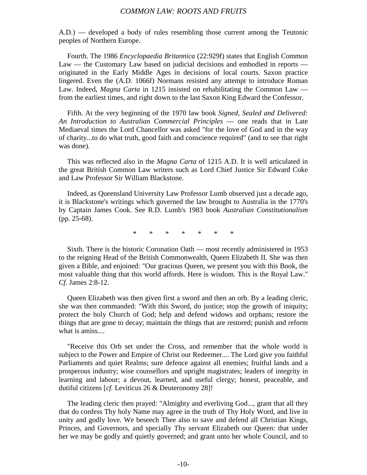A.D.) — developed a body of rules resembling those current among the Teutonic peoples of Northern Europe.

Fourth. The 1986 *Encyclopaedia Britannica* (22:929f) states that English Common Law — the Customary Law based on judicial decisions and embodied in reports originated in the Early Middle Ages in decisions of local courts. Saxon practice lingered. Even the (A.D. 1066f) Normans resisted any attempt to introduce Roman Law. Indeed, *Magna Carta* in 1215 insisted on rehabilitating the Common Law from the earliest times, and right down to the last Saxon King Edward the Confessor.

Fifth. At the very beginning of the 1970 law book *Signed, Sealed and Delivered: An Introduction to Australian Commercial Principles* — one reads that in Late Mediaeval times the Lord Chancellor was asked "for the love of God and in the way of charity...to do what truth, good faith and conscience required" (and to see that right was done).

This was reflected also in the *Magna Carta* of 1215 A.D. It is well articulated in the great British Common Law writers such as Lord Chief Justice Sir Edward Coke and Law Professor Sir William Blackstone.

Indeed, as Queensland University Law Professor Lumb observed just a decade ago, it is Blackstone's writings which governed the law brought to Australia in the 1770's by Captain James Cook. See R.D. Lumb's 1983 book *Australian Constitutionalism* (pp. 25-68).

\* \* \* \* \* \* \*

Sixth. There is the historic Coronation Oath — most recently administered in 1953 to the reigning Head of the British Commonwealth, Queen Elizabeth II. She was then given a Bible, and enjoined: "Our gracious Queen, we present you with this Book, the most valuable thing that this world affords. Here is wisdom. This is the Royal Law." *Cf.* James 2:8-12.

Queen Elizabeth was then given first a sword and then an orb. By a leading cleric, she was then commanded: "With this Sword, do justice; stop the growth of iniquity; protect the holy Church of God; help and defend widows and orphans; restore the things that are gone to decay; maintain the things that are restored; punish and reform what is amiss....

"Receive this Orb set under the Cross, and remember that the whole world is subject to the Power and Empire of Christ our Redeemer.... The Lord give you faithful Parliaments and quiet Realms; sure defence against all enemies; fruitful lands and a prosperous industry; wise counsellors and upright magistrates; leaders of integrity in learning and labour; a devout, learned, and useful clergy; honest, peaceable, and dutiful citizens [*cf.* Leviticus 26 & Deuteronomy 28]!

The leading cleric then prayed: "Almighty and everliving God..., grant that all they that do confess Thy holy Name may agree in the truth of Thy Holy Word, and live in unity and godly love. We beseech Thee also to save and defend all Christian Kings, Princes, and Governors, and specially Thy servant Elizabeth our Queen: that under her we may be godly and quietly governed; and grant unto her whole Council, and to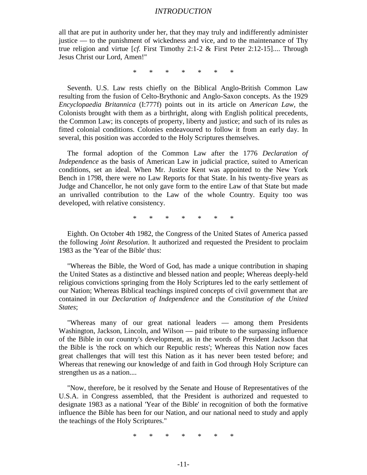#### *INTRODUCTION*

all that are put in authority under her, that they may truly and indifferently administer justice — to the punishment of wickedness and vice, and to the maintenance of Thy true religion and virtue [*cf.* First Timothy 2:1-2 & First Peter 2:12-15].... Through Jesus Christ our Lord, Amen!"

\* \* \* \* \* \* \*

Seventh. U.S. Law rests chiefly on the Biblical Anglo-British Common Law resulting from the fusion of Celto-Brythonic and Anglo-Saxon concepts. As the 1929 *Encyclopaedia Britannica* (I:777f) points out in its article on *American Law*, the Colonists brought with them as a birthright, along with English political precedents, the Common Law; its concepts of property, liberty and justice; and such of its rules as fitted colonial conditions. Colonies endeavoured to follow it from an early day. In several, this position was accorded to the Holy Scriptures themselves.

The formal adoption of the Common Law after the 1776 *Declaration of Independence* as the basis of American Law in judicial practice, suited to American conditions, set an ideal. When Mr. Justice Kent was appointed to the New York Bench in 1798, there were no Law Reports for that State. In his twenty-five years as Judge and Chancellor, he not only gave form to the entire Law of that State but made an unrivalled contribution to the Law of the whole Country. Equity too was developed, with relative consistency.

\* \* \* \* \* \* \*

Eighth. On October 4th 1982, the Congress of the United States of America passed the following *Joint Resolution*. It authorized and requested the President to proclaim 1983 as the 'Year of the Bible' thus:

"Whereas the Bible, the Word of God, has made a unique contribution in shaping the United States as a distinctive and blessed nation and people; Whereas deeply-held religious convictions springing from the Holy Scriptures led to the early settlement of our Nation; Whereas Biblical teachings inspired concepts of civil government that are contained in our *Declaration of Independence* and the *Constitution of the United States*;

"Whereas many of our great national leaders — among them Presidents Washington, Jackson, Lincoln, and Wilson — paid tribute to the surpassing influence of the Bible in our country's development, as in the words of President Jackson that the Bible is 'the rock on which our Republic rests'; Whereas this Nation now faces great challenges that will test this Nation as it has never been tested before; and Whereas that renewing our knowledge of and faith in God through Holy Scripture can strengthen us as a nation....

"Now, therefore, be it resolved by the Senate and House of Representatives of the U.S.A. in Congress assembled, that the President is authorized and requested to designate 1983 as a national 'Year of the Bible' in recognition of both the formative influence the Bible has been for our Nation, and our national need to study and apply the teachings of the Holy Scriptures."

\* \* \* \* \* \* \*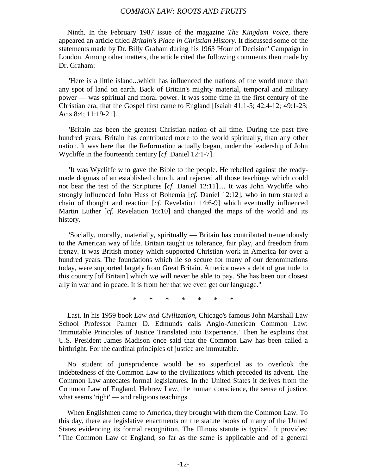Ninth. In the February 1987 issue of the magazine *The Kingdom Voice*, there appeared an article titled *Britain's Place in Christian History*. It discussed some of the statements made by Dr. Billy Graham during his 1963 'Hour of Decision' Campaign in London. Among other matters, the article cited the following comments then made by Dr. Graham:

"Here is a little island...which has influenced the nations of the world more than any spot of land on earth. Back of Britain's mighty material, temporal and military power — was spiritual and moral power. It was some time in the first century of the Christian era, that the Gospel first came to England [Isaiah 41:1-5; 42:4-12; 49:1-23; Acts 8:4; 11:19-21].

"Britain has been the greatest Christian nation of all time. During the past five hundred years, Britain has contributed more to the world spiritually, than any other nation. It was here that the Reformation actually began, under the leadership of John Wycliffe in the fourteenth century [*cf.* Daniel 12:1-7].

"It was Wycliffe who gave the Bible to the people. He rebelled against the readymade dogmas of an established church, and rejected all those teachings which could not bear the test of the Scriptures [*cf.* Daniel 12:11].... It was John Wycliffe who strongly influenced John Huss of Bohemia [*cf.* Daniel 12:12], who in turn started a chain of thought and reaction [*cf.* Revelation 14:6-9] which eventually influenced Martin Luther [*cf.* Revelation 16:10] and changed the maps of the world and its history.

"Socially, morally, materially, spiritually — Britain has contributed tremendously to the American way of life. Britain taught us tolerance, fair play, and freedom from frenzy. It was British money which supported Christian work in America for over a hundred years. The foundations which lie so secure for many of our denominations today, were supported largely from Great Britain. America owes a debt of gratitude to this country [of Britain] which we will never be able to pay. She has been our closest ally in war and in peace. It is from her that we even get our language."

\* \* \* \* \* \* \*

Last. In his 1959 book *Law and Civilization*, Chicago's famous John Marshall Law School Professor Palmer D. Edmunds calls Anglo-American Common Law: 'Immutable Principles of Justice Translated into Experience.' Then he explains that U.S. President James Madison once said that the Common Law has been called a birthright. For the cardinal principles of justice are immutable.

No student of jurisprudence would be so superficial as to overlook the indebtedness of the Common Law to the civilizations which preceded its advent. The Common Law antedates formal legislatures. In the United States it derives from the Common Law of England, Hebrew Law, the human conscience, the sense of justice, what seems 'right' — and religious teachings.

When Englishmen came to America, they brought with them the Common Law. To this day, there are legislative enactments on the statute books of many of the United States evidencing its formal recognition. The Illinois statute is typical. It provides: "The Common Law of England, so far as the same is applicable and of a general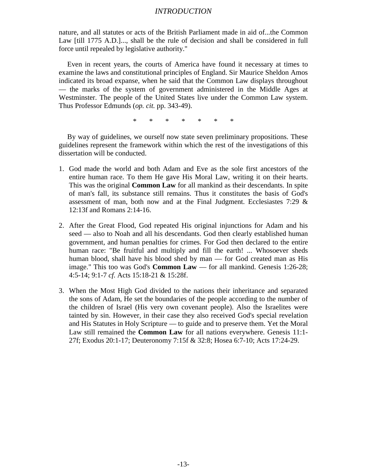#### *INTRODUCTION*

nature, and all statutes or acts of the British Parliament made in aid of...the Common Law [till 1775 A.D.]..., shall be the rule of decision and shall be considered in full force until repealed by legislative authority."

Even in recent years, the courts of America have found it necessary at times to examine the laws and constitutional principles of England. Sir Maurice Sheldon Amos indicated its broad expanse, when he said that the Common Law displays throughout — the marks of the system of government administered in the Middle Ages at Westminster. The people of the United States live under the Common Law system. Thus Professor Edmunds (*op. cit.* pp. 343-49).

\* \* \* \* \* \* \*

By way of guidelines, we ourself now state seven preliminary propositions. These guidelines represent the framework within which the rest of the investigations of this dissertation will be conducted.

- 1. God made the world and both Adam and Eve as the sole first ancestors of the entire human race. To them He gave His Moral Law, writing it on their hearts. This was the original **Common Law** for all mankind as their descendants. In spite of man's fall, its substance still remains. Thus it constitutes the basis of God's assessment of man, both now and at the Final Judgment. Ecclesiastes 7:29 & 12:13f and Romans 2:14-16.
- 2. After the Great Flood, God repeated His original injunctions for Adam and his seed — also to Noah and all his descendants. God then clearly established human government, and human penalties for crimes. For God then declared to the entire human race: "Be fruitful and multiply and fill the earth! ... Whosoever sheds human blood, shall have his blood shed by man — for God created man as His image." This too was God's **Common Law** — for all mankind. Genesis 1:26-28; 4:5-14; 9:1-7 *cf.* Acts 15:18-21 & 15:28f.
- 3. When the Most High God divided to the nations their inheritance and separated the sons of Adam, He set the boundaries of the people according to the number of the children of Israel (His very own covenant people). Also the Israelites were tainted by sin. However, in their case they also received God's special revelation and His Statutes in Holy Scripture — to guide and to preserve them. Yet the Moral Law still remained the **Common Law** for all nations everywhere. Genesis 11:1- 27f; Exodus 20:1-17; Deuteronomy 7:15f & 32:8; Hosea 6:7-10; Acts 17:24-29.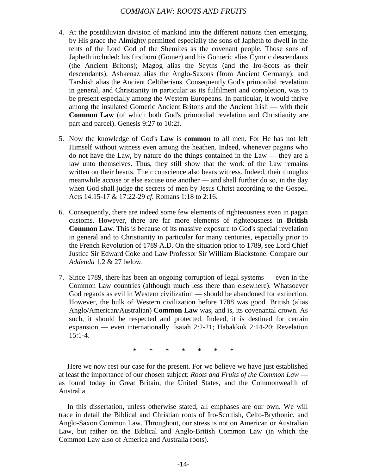- 4. At the postdiluvian division of mankind into the different nations then emerging, by His grace the Almighty permitted especially the sons of Japheth to dwell in the tents of the Lord God of the Shemites as the covenant people. Those sons of Japheth included: his firstborn (Gomer) and his Gomeric alias Cymric descendants (the Ancient Britons); Magog alias the Scyths (and the Iro-Scots as their descendants); Ashkenaz alias the Anglo-Saxons (from Ancient Germany); and Tarshish alias the Ancient Celtiberians. Consequently God's primordial revelation in general, and Christianity in particular as its fulfilment and completion, was to be present especially among the Western Europeans. In particular, it would thrive among the insulated Gomeric Ancient Britons and the Ancient Irish — with their **Common Law** (of which both God's primordial revelation and Christianity are part and parcel). Genesis 9:27 to 10:2f.
- 5. Now the knowledge of God's **Law** is **common** to all men. For He has not left Himself without witness even among the heathen. Indeed, whenever pagans who do not have the Law, by nature do the things contained in the Law — they are a law unto themselves. Thus, they still show that the work of the Law remains written on their hearts. Their conscience also bears witness. Indeed, their thoughts meanwhile accuse or else excuse one another — and shall further do so, in the day when God shall judge the secrets of men by Jesus Christ according to the Gospel. Acts 14:15-17 & 17:22-29 *cf.* Romans 1:18 to 2:16.
- 6. Consequently, there are indeed some few elements of righteousness even in pagan customs. However, there are far more elements of righteousness in **British Common Law**. This is because of its massive exposure to God's special revelation in general and to Christianity in particular for many centuries, especially prior to the French Revolution of 1789 A.D. On the situation prior to 1789, see Lord Chief Justice Sir Edward Coke and Law Professor Sir William Blackstone. Compare our *Addenda* 1,2 & 27 below.
- 7. Since 1789, there has been an ongoing corruption of legal systems even in the Common Law countries (although much less there than elsewhere). Whatsoever God regards as evil in Western civilization — should be abandoned for extinction. However, the bulk of Western civilization before 1788 was good. British (alias Anglo/American/Australian) **Common Law** was, and is, its covenantal crown. As such, it should be respected and protected. Indeed, it is destined for certain expansion — even internationally. Isaiah 2:2-21; Habakkuk 2:14-20; Revelation 15:1-4.

\* \* \* \* \* \* \*

Here we now rest our case for the present. For we believe we have just established at least the importance of our chosen subject: *Roots and Fruits of the Common Law* as found today in Great Britain, the United States, and the Commonwealth of Australia.

In this dissertation, unless otherwise stated, all emphases are our own. We will trace in detail the Biblical and Christian roots of Iro-Scottish, Celto-Brythonic, and Anglo-Saxon Common Law. Throughout, our stress is not on American or Australian Law, but rather on the Biblical and Anglo-British Common Law (in which the Common Law also of America and Australia roots).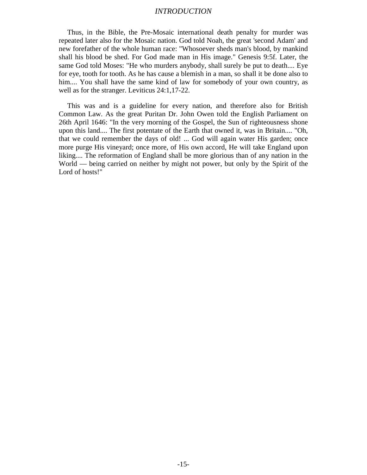#### *INTRODUCTION*

Thus, in the Bible, the Pre-Mosaic international death penalty for murder was repeated later also for the Mosaic nation. God told Noah, the great 'second Adam' and new forefather of the whole human race: "Whosoever sheds man's blood, by mankind shall his blood be shed. For God made man in His image." Genesis 9:5f. Later, the same God told Moses: "He who murders anybody, shall surely be put to death.... Eye for eye, tooth for tooth. As he has cause a blemish in a man, so shall it be done also to him.... You shall have the same kind of law for somebody of your own country, as well as for the stranger. Leviticus 24:1,17-22.

This was and is a guideline for every nation, and therefore also for British Common Law. As the great Puritan Dr. John Owen told the English Parliament on 26th April 1646: "In the very morning of the Gospel, the Sun of righteousness shone upon this land.... The first potentate of the Earth that owned it, was in Britain.... "Oh, that we could remember the days of old! ... God will again water His garden; once more purge His vineyard; once more, of His own accord, He will take England upon liking.... The reformation of England shall be more glorious than of any nation in the World — being carried on neither by might not power, but only by the Spirit of the Lord of hosts!"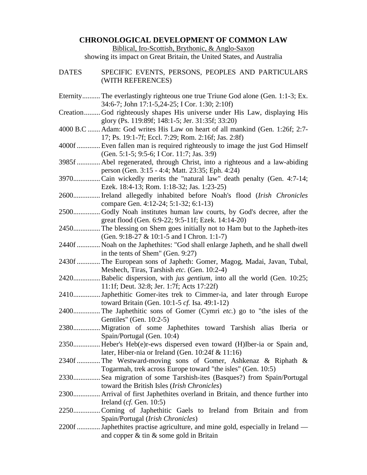#### **CHRONOLOGICAL DEVELOPMENT OF COMMON LAW**

Biblical, Iro-Scottish, Brythonic, & Anglo-Saxon

showing its impact on Great Britain, the United States, and Australia

DATES SPECIFIC EVENTS, PERSONS, PEOPLES AND PARTICULARS (WITH REFERENCES) Eternity.......... The everlastingly righteous one true Triune God alone (Gen. 1:1-3; Ex. 34:6-7; John 17:1-5,24-25; I Cor. 1:30; 2:10f) Creation......... God righteously shapes His universe under His Law, displaying His glory (Ps. 119:89f; 148:1-5; Jer. 31:35f; 33:20) 4000 B.C ....... Adam: God writes His Law on heart of all mankind (Gen. 1:26f; 2:7- 17; Ps. 19:1-7f; Eccl. 7:29; Rom. 2:16f; Jas. 2:8f) 4000f ............. Even fallen man is required righteously to image the just God Himself (Gen. 5:1-5; 9:5-6; I Cor. 11:7; Jas. 3:9) 3985f ............. Abel regenerated, through Christ, into a righteous and a law-abiding person (Gen. 3:15 - 4:4; Matt. 23:35; Eph. 4:24) 3970............... Cain wickedly merits the "natural law" death penalty (Gen. 4:7-14; Ezek. 18:4-13; Rom. 1:18-32; Jas. 1:23-25) 2600............... Ireland allegedly inhabited before Noah's flood (*Irish Chronicles* compare Gen. 4:12-24; 5:1-32; 6:1-13) 2500............... Godly Noah institutes human law courts, by God's decree, after the great flood (Gen. 6:9-22; 9:5-11f; Ezek. 14:14-20) 2450............... The blessing on Shem goes initially not to Ham but to the Japheth-ites (Gen. 9:18-27 & 10:1-5 and I Chron. 1:1-7) 2440f ............. Noah on the Japhethites: "God shall enlarge Japheth, and he shall dwell in the tents of Shem" (Gen. 9:27) 2430f ............. The European sons of Japheth: Gomer, Magog, Madai, Javan, Tubal, Meshech, Tiras, Tarshish *etc.* (Gen. 10:2-4) 2420............... Babelic dispersion, with *jus gentium*, into all the world (Gen. 10:25; 11:1f; Deut. 32:8; Jer. 1:7f; Acts 17:22f) 2410............... Japhethitic Gomer-ites trek to Cimmer-ia, and later through Europe toward Britain (Gen. 10:1-5 *cf.* Isa. 49:1-12) 2400............... The Japhethitic sons of Gomer (Cymri *etc.*) go to "the isles of the Gentiles" (Gen. 10:2-5) 2380............... Migration of some Japhethites toward Tarshish alias Iberia or Spain/Portugal (Gen. 10:4) 2350............... Heber's Heb(e)r-ews dispersed even toward (H)Iber-ia or Spain and, later, Hiber-nia or Ireland (Gen. 10:24f & 11:16) 2340f ............. The Westward-moving sons of Gomer, Ashkenaz & Riphath & Togarmah, trek across Europe toward "the isles" (Gen. 10:5) 2330............... Sea migration of some Tarshish-ites (Basques?) from Spain/Portugal toward the British Isles (*Irish Chronicles*) 2300............... Arrival of first Japhethites overland in Britain, and thence further into Ireland (*cf.* Gen. 10:5) 2250............... Coming of Japhethitic Gaels to Ireland from Britain and from Spain/Portugal (*Irish Chronicles*) 2200f ............. Japhethites practise agriculture, and mine gold, especially in Ireland and copper & tin & some gold in Britain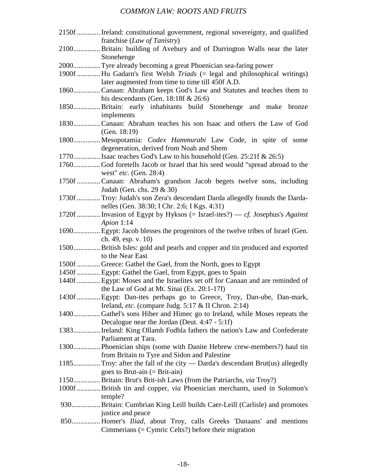| 2150f  Ireland: constitutional government, regional sovereignty, and qualified    |
|-----------------------------------------------------------------------------------|
| franchise (Law of Tanistry)                                                       |
| 2100Britain: building of Avebury and of Durrington Walls near the later           |
| Stonehenge                                                                        |
| 2000Tyre already becoming a great Phoenician sea-faring power                     |
| 1900f  Hu Gadarn's first Welsh Triads (= legal and philosophical writings)        |
| later augmented from time to time till 450f A.D.                                  |
| 1860 Canaan: Abraham keeps God's Law and Statutes and teaches them to             |
|                                                                                   |
| his descendants (Gen. 18:18f $& 26:6$ )                                           |
| 1850Britain: early inhabitants build Stonehenge and make bronze                   |
| implements                                                                        |
| 1830Canaan: Abraham teaches his son Isaac and others the Law of God               |
| (Gen. $18:19$ )                                                                   |
| 1800 Mesopotamia: <i>Codex Hammurabi</i> Law Code, in spite of some               |
| degeneration, derived from Noah and Shem                                          |
| 1770 Isaac teaches God's Law to his household (Gen. 25:21f & 26:5)                |
| 1760God foretells Jacob or Israel that his seed would "spread abroad to the       |
| west" $etc.$ (Gen. 28:4)                                                          |
| 1750f  Canaan: Abraham's grandson Jacob begets twelve sons, including             |
| Judah (Gen. chs. 29 & 30)                                                         |
| 1730f  Troy: Judah's son Zera's descendant Darda allegedly founds the Darda-      |
| nelles (Gen. 38:30; I Chr. 2:6; I Kgs. 4:31)                                      |
| 1720f  Invasion of Egypt by Hyksos (= Israel-ites?) — cf. Josephus's Against      |
| Apion 1:14                                                                        |
| 1690 Egypt: Jacob blesses the progenitors of the twelve tribes of Israel (Gen.    |
| ch. 49, esp. v. 10)                                                               |
| 1500 British Isles: gold and pearls and copper and tin produced and exported      |
| to the Near East                                                                  |
| 1500f  Greece: Gathel the Gael, from the North, goes to Egypt                     |
| 1450f  Egypt: Gathel the Gael, from Egypt, goes to Spain                          |
| 1440f  Egypt: Moses and the Israelites set off for Canaan and are reminded of     |
| the Law of God at Mt. Sinai (Ex. 20:1-17f)                                        |
| 1430f  Egypt: Dan-ites perhaps go to Greece, Troy, Dan-ube, Dan-mark,             |
| Ireland, etc. (compare Judg. 5:17 & II Chron. 2:14)                               |
| 1400Gathel's sons Hiber and Himec go to Ireland, while Moses repeats the          |
|                                                                                   |
| Decalogue near the Jordan (Deut. 4:47 - 5:1f)                                     |
| 1383 Ireland: King Ollamh Fodhla fathers the nation's Law and Confederate         |
| Parliament at Tara.                                                               |
| 1300 Phoenician ships (some with Danite Hebrew crew-members?) haul tin            |
| from Britain to Tyre and Sidon and Palestine                                      |
| 1185 Troy: after the fall of the city — Darda's descendant Brut(us) allegedly     |
| goes to Brut-ain $(=$ Brit-ain)                                                   |
| 1150Britain: Brut's Brit-ish Laws (from the Patriarchs, via Troy?)                |
| 1000f  British tin and copper, <i>via</i> Phoenician merchants, used in Solomon's |
| temple?                                                                           |
| 930 Britain: Cumbrian King Leill builds Caer-Leill (Carlisle) and promotes        |
| justice and peace                                                                 |
| 850 Homer's <i>Iliad</i> , about Troy, calls Greeks 'Danaans' and mentions        |
| Cimmerians $(=$ Cymric Celts?) before their migration                             |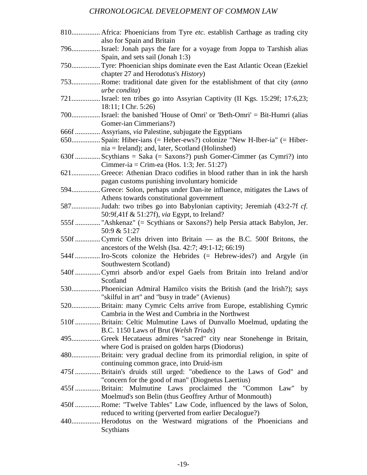# *CHRONOLOGICAL DEVELOPMENT OF COMMON LAW*

| 810 Africa: Phoenicians from Tyre etc. establish Carthage as trading city<br>also for Spain and Britain                       |
|-------------------------------------------------------------------------------------------------------------------------------|
| 796 Israel: Jonah pays the fare for a voyage from Joppa to Tarshish alias<br>Spain, and sets sail (Jonah 1:3)                 |
| 750 Tyre: Phoenician ships dominate even the East Atlantic Ocean (Ezekiel<br>chapter 27 and Herodotus's <i>History</i> )      |
| 753 Rome: traditional date given for the establishment of that city (anno<br>urbe condita)                                    |
| 721 Israel: ten tribes go into Assyrian Captivity (II Kgs. 15:29f; 17:6,23;<br>18:11; I Chr. 5:26)                            |
| 700 Israel: the banished 'House of Omri' or 'Beth-Omri' = Bit-Humri (alias<br>Gomer-ian Cimmerians?)                          |
| 666f  Assyrians, via Palestine, subjugate the Egyptians                                                                       |
| 650 Spain: Hiber-ians (= Heber-ews?) colonize "New H-Iber-ia" (= Hiber-<br>$nia = Ireland$ ; and, later, Scotland (Holinshed) |
| 630f  Scythians = Saka (= Saxons?) push Gomer-Cimmer (as Cymri?) into<br>Cimmer-ia = Crim-ea (Hos. 1:3; Jer. 51:27)           |
| 621 Greece: Athenian Draco codifies in blood rather than in ink the harsh<br>pagan customs punishing involuntary homicide     |
| 594 Greece: Solon, perhaps under Dan-ite influence, mitigates the Laws of<br>Athens towards constitutional government         |
| 587Judah: two tribes go into Babylonian captivity; Jeremiah (43:2-7f cf.<br>50:9f,41f & 51:27f), via Egypt, to Ireland?       |
| 555f  "Ashkenaz" (= Scythians or Saxons?) help Persia attack Babylon, Jer.<br>50:9 & 51:27                                    |
| 550f  Cymric Celts driven into Britain — as the B.C. 500f Britons, the<br>ancestors of the Welsh (Isa. 42:7; 49:1-12; 66:19)  |
| 544f  Iro-Scots colonize the Hebrides (= Hebrew-ides?) and Argyle (in<br>Southwestern Scotland)                               |
| 540f  Cymri absorb and/or expel Gaels from Britain into Ireland and/or<br>Scotland                                            |
| 530 Phoenician Admiral Hamilco visits the British (and the Irish?); says<br>"skilful in art" and "busy in trade" (Avienus)    |
| 520 Britain: many Cymric Celts arrive from Europe, establishing Cymric<br>Cambria in the West and Cumbria in the Northwest    |
| 510f  Britain: Celtic Mulmutine Laws of Dunvallo Moelmud, updating the<br>B.C. 1150 Laws of Brut (Welsh Triads)               |
| 495Greek Hecataeus admires "sacred" city near Stonehenge in Britain,<br>where God is praised on golden harps (Diodorus)       |
| 480 Britain: very gradual decline from its primordial religion, in spite of<br>continuing common grace, into Druid-ism        |
| 475f  Britain's druids still urged: "obedience to the Laws of God" and<br>"concern for the good of man" (Diognetus Laertius)  |
| 455f  Britain: Mulmutine Laws proclaimed the "Common Law" by<br>Moelmud's son Belin (thus Geoffrey Arthur of Monmouth)        |
| 450f  Rome: "Twelve Tables" Law Code, influenced by the laws of Solon,                                                        |
| reduced to writing (perverted from earlier Decalogue?)                                                                        |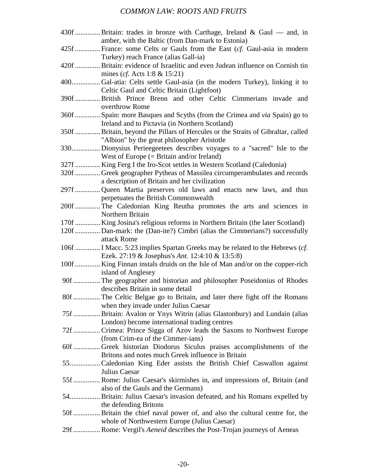| 430f  Britain: trades in bronze with Carthage, Ireland & Gaul — and, in           |  |
|-----------------------------------------------------------------------------------|--|
| amber, with the Baltic (from Dan-mark to Estonia)                                 |  |
| 425f  France: some Celts or Gauls from the East (cf. Gaul-asia in modern          |  |
| Turkey) reach France (alias Gall-ia)                                              |  |
| 420f  Britain: evidence of Israelitic and even Judean influence on Cornish tin    |  |
| mines ( <i>cf.</i> Acts 1:8 $& 15:21$ )                                           |  |
| 400Gal-atia: Celts settle Gaul-asia (in the modern Turkey), linking it to         |  |
| Celtic Gaul and Celtic Britain (Lightfoot)                                        |  |
| 390f  British Prince Brenn and other Celtic Cimmerians invade and                 |  |
| overthrow Rome                                                                    |  |
| 360f  Spain: more Basques and Scyths (from the Crimea and via Spain) go to        |  |
| Ireland and to Pictavia (in Northern Scotland)                                    |  |
| 350f  Britain, beyond the Pillars of Hercules or the Straits of Gibraltar, called |  |
| "Albion" by the great philosopher Aristotle                                       |  |
| 330Dionysius Perieegeetees describes voyages to a "sacred" Isle to the            |  |
|                                                                                   |  |
| West of Europe $(= 1)$ Britain and/or Ireland)                                    |  |
| 327f  King Ferg I the Iro-Scot settles in Western Scotland (Caledonia)            |  |
| 320f  Greek geographer Pytheas of Massilea circumperambulates and records         |  |
| a description of Britain and her civilization                                     |  |
| 297f Queen Martia preserves old laws and enacts new laws, and thus                |  |
| perpetuates the British Commonwealth                                              |  |
| 200f  The Caledonian King Reutha promotes the arts and sciences in                |  |
| Northern Britain                                                                  |  |
| 170f  King Josina's religious reforms in Northern Britain (the later Scotland)    |  |
| 120f  Dan-mark: the (Dan-ite?) Cimbri (alias the Cimmerians?) successfully        |  |
| attack Rome                                                                       |  |
| 106f  I Macc. 5:23 implies Spartan Greeks may be related to the Hebrews (cf.      |  |
| Ezek. 27:19 & Josephus's Ant. 12:4:10 & 13:5:8)                                   |  |
| 100f  King Finnan instals druids on the Isle of Man and/or on the copper-rich     |  |
| island of Anglesey                                                                |  |
| 90f  The geographer and historian and philosopher Poseidonius of Rhodes           |  |
| describes Britain in some detail                                                  |  |
| 80f  The Celtic Belgae go to Britain, and later there fight off the Romans        |  |
| when they invade under Julius Caesar                                              |  |
| 75f  Britain: Avalon or Ynys Witrin (alias Glastonbury) and Lundain (alias        |  |
| London) become international trading centres                                      |  |
| 72f  Crimea: Prince Sigga of Azov leads the Saxons to Northwest Europe            |  |
| (from Crim-ea of the Cimmer-ians)                                                 |  |
| 60f  Greek historian Diodorus Siculus praises accomplishments of the              |  |
| Britons and notes much Greek influence in Britain                                 |  |
| 55Caledonian King Eder assists the British Chief Caswallon against                |  |
| Julius Caesar                                                                     |  |
|                                                                                   |  |
| 55f  Rome: Julius Caesar's skirmishes in, and impressions of, Britain (and        |  |
| also of the Gauls and the Germans)                                                |  |
| 54 Britain: Julius Caesar's invasion defeated, and his Romans expelled by         |  |
| the defending Britons                                                             |  |
| 50f  Britain the chief naval power of, and also the cultural centre for, the      |  |
| whole of Northwestern Europe (Julius Caesar)                                      |  |
| 29f  Rome: Vergil's Aeneid describes the Post-Trojan journeys of Aeneas           |  |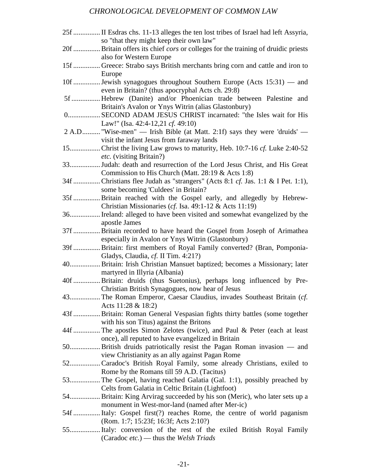# *CHRONOLOGICAL DEVELOPMENT OF COMMON LAW*

| 25f  II Esdras chs. 11-13 alleges the ten lost tribes of Israel had left Assyria,<br>so "that they might keep their own law"   |
|--------------------------------------------------------------------------------------------------------------------------------|
| 20f  Britain offers its chief cors or colleges for the training of druidic priests                                             |
| also for Western Europe<br>15f  Greece: Strabo says British merchants bring corn and cattle and iron to                        |
| Europe                                                                                                                         |
| 10f  Jewish synagogues throughout Southern Europe (Acts 15:31) — and<br>even in Britain? (thus apocryphal Acts ch. 29:8)       |
| 5f  Hebrew (Danite) and/or Phoenician trade between Palestine and<br>Britain's Avalon or Ynys Witrin (alias Glastonbury)       |
| 0 SECOND ADAM JESUS CHRIST incarnated: "the Isles wait for His                                                                 |
| Law!" (Isa. 42:4-12,21 cf. 49:10)<br>2 A.D "Wise-men" — Irish Bible (at Matt. 2:1f) says they were 'druids' —                  |
| visit the infant Jesus from faraway lands                                                                                      |
| <i>etc.</i> (visiting Britain?)                                                                                                |
| 33 Judah: death and resurrection of the Lord Jesus Christ, and His Great                                                       |
| Commission to His Church (Matt. 28:19 & Acts 1:8)                                                                              |
| 34f  Christians flee Judah as "strangers" (Acts 8:1 cf. Jas. 1:1 & I Pet. 1:1),<br>some becoming 'Culdees' in Britain?         |
| 35f  Britain reached with the Gospel early, and allegedly by Hebrew-                                                           |
| Christian Missionaries (cf. Isa. 49:1-12 & Acts 11:19)                                                                         |
| 36 Ireland: alleged to have been visited and somewhat evangelized by the                                                       |
| apostle James<br>37f  Britain recorded to have heard the Gospel from Joseph of Arimathea                                       |
| especially in Avalon or Ynys Witrin (Glastonbury)                                                                              |
| 39f  Britain: first members of Royal Family converted? (Bran, Pomponia-                                                        |
| Gladys, Claudia, cf. II Tim. 4:21?)                                                                                            |
| 40 Britain: Irish Christian Mansuet baptized; becomes a Missionary; later                                                      |
| martyred in Illyria (Albania)                                                                                                  |
| 40f  Britain: druids (thus Suetonius), perhaps long influenced by Pre-                                                         |
| Christian British Synagogues, now hear of Jesus                                                                                |
| 43 The Roman Emperor, Caesar Claudius, invades Southeast Britain (cf.                                                          |
| Acts $11:28 \& 18:2$<br>43f  Britain: Roman General Vespasian fights thirty battles (some together                             |
| with his son Titus) against the Britons                                                                                        |
| 44f  The apostles Simon Zelotes (twice), and Paul & Peter (each at least                                                       |
| once), all reputed to have evangelized in Britain                                                                              |
| 50 British druids patriotically resist the Pagan Roman invasion — and                                                          |
| view Christianity as an ally against Pagan Rome                                                                                |
| 52 Caradoc's British Royal Family, some already Christians, exiled to                                                          |
| Rome by the Romans till 59 A.D. (Tacitus)                                                                                      |
| 53 The Gospel, having reached Galatia (Gal. 1:1), possibly preached by                                                         |
| Celts from Galatia in Celtic Britain (Lightfoot)<br>54 Britain: King Arvirag succeeded by his son (Meric), who later sets up a |
| monument in West-mor-land (named after Mer-ic)                                                                                 |
| 54f  Italy: Gospel first(?) reaches Rome, the centre of world paganism                                                         |
| (Rom. 1:7; 15:23f; 16:3f; Acts 2:10?)                                                                                          |
| 55 Italy: conversion of the rest of the exiled British Royal Family                                                            |
| (Caradoc etc.) — thus the Welsh Triads                                                                                         |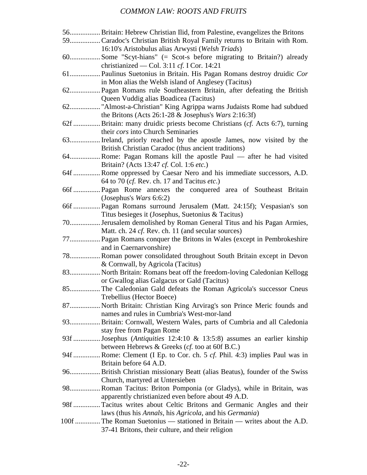| 56 Britain: Hebrew Christian Ilid, from Palestine, evangelizes the Britons   |
|------------------------------------------------------------------------------|
| 59 Caradoc's Christian British Royal Family returns to Britain with Rom.     |
| 16:10's Aristobulus alias Arwysti (Welsh Triads)                             |
| 60Some "Scyt-hians" (= Scot-s before migrating to Britain?) already          |
| christianized — Col. 3:11 cf. I Cor. 14:21                                   |
|                                                                              |
| in Mon alias the Welsh island of Anglesey (Tacitus)                          |
|                                                                              |
| Queen Vuddig alias Boadicea (Tacitus)                                        |
| 62"Almost-a-Christian" King Agrippa warns Judaists Rome had subdued          |
| the Britons (Acts 26:1-28 $&$ Josephus's Wars 2:16:3f)                       |
| 62f  Britain: many druidic priests become Christians (cf. Acts 6:7), turning |
| their cors into Church Seminaries                                            |
| 63 Ireland, priorly reached by the apostle James, now visited by the         |
| British Christian Caradoc (thus ancient traditions)                          |
| 64Rome: Pagan Romans kill the apostle Paul — after he had visited            |
| Britain? (Acts 13:47 cf. Col. 1:6 etc.)                                      |
| 64f Rome oppressed by Caesar Nero and his immediate successors, A.D.         |
| 64 to 70 (cf. Rev. ch. 17 and Tacitus etc.)                                  |
| 66f Pagan Rome annexes the conquered area of Southeast Britain               |
| (Josephus's <i>Wars</i> 6:6:2)                                               |
| 66f  Pagan Romans surround Jerusalem (Matt. 24:15f); Vespasian's son         |
| Titus besieges it (Josephus, Suetonius & Tacitus)                            |
| 70 Jerusalem demolished by Roman General Titus and his Pagan Armies,         |
| Matt. ch. 24 cf. Rev. ch. 11 (and secular sources)                           |
| 77 Pagan Romans conquer the Britons in Wales (except in Pembrokeshire        |
| and in Caernarvonshire)                                                      |
| 78 Roman power consolidated throughout South Britain except in Devon         |
| & Cornwall, by Agricola (Tacitus)                                            |
| 83 North Britain: Romans beat off the freedom-loving Caledonian Kellogg      |
| or Gwallog alias Galgacus or Gald (Tacitus)                                  |
| 85The Caledonian Gald defeats the Roman Agricola's successor Cneus           |
| Trebellius (Hector Boece)                                                    |
| 87 North Britain: Christian King Arvirag's son Prince Meric founds and       |
| names and rules in Cumbria's West-mor-land                                   |
| 93Britain: Cornwall, Western Wales, parts of Cumbria and all Caledonia       |
| stay free from Pagan Rome                                                    |
| 93f  Josephus (Antiquities 12:4:10 & 13:5:8) assumes an earlier kinship      |
| between Hebrews & Greeks (cf. too at 60f B.C.)                               |
| 94f  Rome: Clement (I Ep. to Cor. ch. 5 cf. Phil. 4:3) implies Paul was in   |
| Britain before 64 A.D.                                                       |
| 96 British Christian missionary Beatt (alias Beatus), founder of the Swiss   |
| Church, martyred at Untersieben                                              |
| 98Roman Tacitus: Briton Pomponia (or Gladys), while in Britain, was          |
| apparently christianized even before about 49 A.D.                           |
| 98f  Tacitus writes about Celtic Britons and Germanic Angles and their       |
| laws (thus his Annals, his Agricola, and his Germania)                       |
| 100f  The Roman Suetonius — stationed in Britain — writes about the A.D.     |
| 37-41 Britons, their culture, and their religion                             |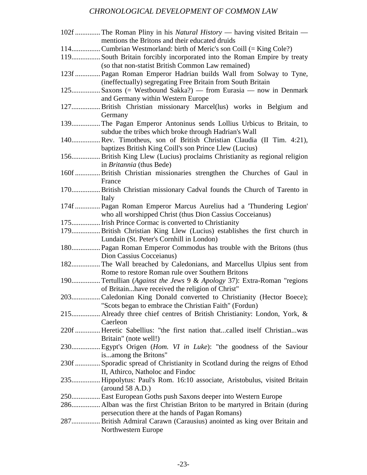# *CHRONOLOGICAL DEVELOPMENT OF COMMON LAW*

| 102f  The Roman Pliny in his Natural History — having visited Britain —      |  |
|------------------------------------------------------------------------------|--|
| mentions the Britons and their educated druids                               |  |
| 114Cumbrian Westmorland: birth of Meric's son Coill (= King Cole?)           |  |
| 119 South Britain forcibly incorporated into the Roman Empire by treaty      |  |
| (so that non-statist British Common Law remained)                            |  |
| 123f  Pagan Roman Emperor Hadrian builds Wall from Solway to Tyne,           |  |
| (ineffectually) segregating Free Britain from South Britain                  |  |
| 125 Saxons (= Westbound Sakka?) — from Eurasia — now in Denmark              |  |
|                                                                              |  |
| and Germany within Western Europe                                            |  |
| 127 British Christian missionary Marcel(lus) works in Belgium and            |  |
| Germany                                                                      |  |
| 139 The Pagan Emperor Antoninus sends Lollius Urbicus to Britain, to         |  |
| subdue the tribes which broke through Hadrian's Wall                         |  |
| 140 Rev. Timotheus, son of British Christian Claudia (II Tim. 4:21),         |  |
| baptizes British King Coill's son Prince Llew (Lucius)                       |  |
| 156 British King Llew (Lucius) proclaims Christianity as regional religion   |  |
| in <i>Britannia</i> (thus Bede)                                              |  |
| 160f  British Christian missionaries strengthen the Churches of Gaul in      |  |
| France                                                                       |  |
|                                                                              |  |
| 170 British Christian missionary Cadval founds the Church of Tarento in      |  |
| Italy                                                                        |  |
| 174f  Pagan Roman Emperor Marcus Aurelius had a 'Thundering Legion'          |  |
| who all worshipped Christ (thus Dion Cassius Cocceianus)                     |  |
| 175 Irish Prince Cormac is converted to Christianity                         |  |
| 179 British Christian King Llew (Lucius) establishes the first church in     |  |
| Lundain (St. Peter's Cornhill in London)                                     |  |
| 180 Pagan Roman Emperor Commodus has trouble with the Britons (thus          |  |
| Dion Cassius Cocceianus)                                                     |  |
| 182 The Wall breached by Caledonians, and Marcellus Ulpius sent from         |  |
| Rome to restore Roman rule over Southern Britons                             |  |
|                                                                              |  |
| 190 Tertullian (Against the Jews 9 & Apology 37): Extra-Roman "regions"      |  |
| of Britainhave received the religion of Christ"                              |  |
| 203Caledonian King Donald converted to Christianity (Hector Boece);          |  |
| "Scots began to embrace the Christian Faith" (Fordun)                        |  |
| 215 Already three chief centres of British Christianity: London, York, &     |  |
| Caerleon                                                                     |  |
| 220f  Heretic Sabellius: "the first nation thatcalled itself Christianwas    |  |
| Britain" (note well!)                                                        |  |
| 230 Egypt's Origen (Hom. VI in Luke): "the goodness of the Saviour           |  |
| isamong the Britons"                                                         |  |
| 230f  Sporadic spread of Christianity in Scotland during the reigns of Ethod |  |
|                                                                              |  |
| II, Athirco, Natholoc and Findoc                                             |  |
| 235 Hippolytus: Paul's Rom. 16:10 associate, Aristobulus, visited Britain    |  |
| (around 58 A.D.)                                                             |  |
| 250 East European Goths push Saxons deeper into Western Europe               |  |
| 286 Alban was the first Christian Briton to be martyred in Britain (during   |  |
| persecution there at the hands of Pagan Romans)                              |  |
| 287 British Admiral Carawn (Carausius) anointed as king over Britain and     |  |
| Northwestern Europe                                                          |  |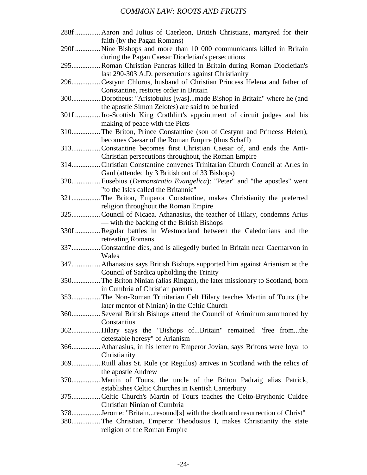| 288f  Aaron and Julius of Caerleon, British Christians, martyred for their   |
|------------------------------------------------------------------------------|
| faith (by the Pagan Romans)                                                  |
| 290f  Nine Bishops and more than 10 000 communicants killed in Britain       |
| during the Pagan Caesar Diocletian's persecutions                            |
| 295 Roman Christian Pancras killed in Britain during Roman Diocletian's      |
| last 290-303 A.D. persecutions against Christianity                          |
| 296Cestynn Chlorus, husband of Christian Princess Helena and father of       |
| Constantine, restores order in Britain                                       |
| 300Dorotheus: "Aristobulus [was]made Bishop in Britain" where he (and        |
| the apostle Simon Zelotes) are said to be buried                             |
| 301f  Iro-Scottish King Crathlint's appointment of circuit judges and his    |
| making of peace with the Picts                                               |
| 310 The Briton, Prince Constantine (son of Cestynn and Princess Helen),      |
| becomes Caesar of the Roman Empire (thus Schaff)                             |
| 313Constantine becomes first Christian Caesar of, and ends the Anti-         |
| Christian persecutions throughout, the Roman Empire                          |
| 314 Christian Constantine convenes Trinitarian Church Council at Arles in    |
| Gaul (attended by 3 British out of 33 Bishops)                               |
| 320 Eusebius (Demonstratio Evangelica): "Peter" and "the apostles" went      |
|                                                                              |
| "to the Isles called the Britannic"                                          |
| 321The Briton, Emperor Constantine, makes Christianity the preferred         |
| religion throughout the Roman Empire                                         |
| 325Council of Nicaea. Athanasius, the teacher of Hilary, condemns Arius      |
| — with the backing of the British Bishops                                    |
| 330f  Regular battles in Westmorland between the Caledonians and the         |
| retreating Romans                                                            |
| 337 Constantine dies, and is allegedly buried in Britain near Caernarvon in  |
| Wales                                                                        |
| 347 Athanasius says British Bishops supported him against Arianism at the    |
| Council of Sardica upholding the Trinity                                     |
| 350 The Briton Ninian (alias Ringan), the later missionary to Scotland, born |
| in Cumbria of Christian parents                                              |
| 353 The Non-Roman Trinitarian Celt Hilary teaches Martin of Tours (the       |
| later mentor of Ninian) in the Celtic Church                                 |
| 360 Several British Bishops attend the Council of Ariminum summoned by       |
| Constantius                                                                  |
| 362 Hilary says the "Bishops ofBritain" remained "free fromthe               |
| detestable heresy" of Arianism                                               |
| 366 Athanasius, in his letter to Emperor Jovian, says Britons were loyal to  |
| Christianity                                                                 |
| 369 Ruill alias St. Rule (or Regulus) arrives in Scotland with the relics of |
| the apostle Andrew                                                           |
| 370 Martin of Tours, the uncle of the Briton Padraig alias Patrick,          |
| establishes Celtic Churches in Kentish Canterbury                            |
| 375 Celtic Church's Martin of Tours teaches the Celto-Brythonic Culdee       |
| Christian Ninian of Cumbria                                                  |
| 378 Jerome: "Britainresound[s] with the death and resurrection of Christ"    |
| 380 The Christian, Emperor Theodosius I, makes Christianity the state        |
| religion of the Roman Empire                                                 |
|                                                                              |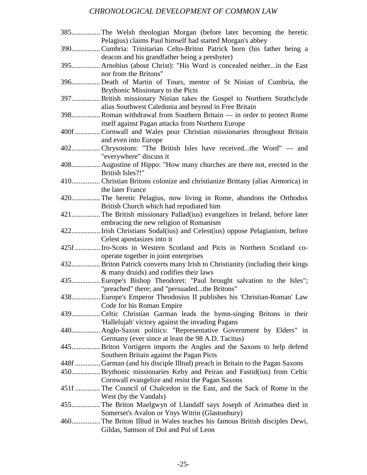# *CHRONOLOGICAL DEVELOPMENT OF COMMON LAW*

|      | Pelagius) claims Paul himself had started Morgan's abbey                      |
|------|-------------------------------------------------------------------------------|
|      | 390 Cumbria: Trinitarian Celto-Briton Patrick born (his father being a        |
|      | deacon and his grandfather being a presbyter)                                 |
|      | 395 Arnobius (about Christ): "His Word is concealed neitherin the East        |
|      | nor from the Britons"                                                         |
| 396  | Death of Martin of Tours, mentor of St Ninian of Cumbria, the                 |
|      | Brythonic Missionary to the Picts                                             |
|      | 397 British missionary Ninian takes the Gospel to Northern Strathclyde        |
|      | alias Southwest Caledonia and beyond in Free Britain                          |
|      | 398 Roman withdrawal from Southern Britain — in order to protect Rome         |
|      | itself against Pagan attacks from Northern Europe                             |
|      | 400f  Cornwall and Wales pour Christian missionaries throughout Britain       |
|      | and even into Europe                                                          |
|      | 402Chrysostom: "The British Isles have receivedthe Word" — and                |
|      | "everywhere" discuss it                                                       |
|      | 408 Augustine of Hippo: "How many churches are there not, erected in the      |
|      | British Isles?!"                                                              |
|      | 410 Christian Britons colonize and christianize Brittany (alias Armorica) in  |
|      | the later France                                                              |
|      | 420 The heretic Pelagius, now living in Rome, abandons the Orthodox           |
|      | British Church which had repudiated him                                       |
|      | 421 The British missionary Pallad(ius) evangelizes in Ireland, before later   |
|      | embracing the new religion of Romanism                                        |
|      | 422 Irish Christians Sodal(ius) and Celest(ius) oppose Pelagianism, before    |
|      | Celest apostasizes into it                                                    |
| 425f | . Iro-Scots in Western Scotland and Picts in Northern Scotland co-            |
|      | operate together in joint enterprises                                         |
|      | 432 Briton Patrick converts many Irish to Christianity (including their kings |
|      | & many druids) and codifies their laws                                        |
|      | 435 Europe's Bishop Theodoret: "Paul brought salvation to the Isles";         |
|      |                                                                               |
|      | "preached" there; and "persuadedthe Britons"                                  |
|      | 438 Europe's Emperor Theodosius II publishes his 'Christian-Roman' Law        |
|      | Code for his Roman Empire                                                     |
|      | 439Celtic Christian Garman leads the hymn-singing Britons in their            |
|      | 'Hallelujah' victory against the invading Pagans                              |
|      | 440 Anglo-Saxon politics: "Representative Government by Elders" in            |
|      | Germany (ever since at least the 98 A.D. Tacitus)                             |
|      | 445 Briton Vortigern imports the Angles and the Saxons to help defend         |
|      | Southern Britain against the Pagan Picts                                      |
|      | 448f  Garman (and his disciple Illtud) preach in Britain to the Pagan Saxons  |
|      | 450 Brythonic missionaries Keby and Peiran and Fastid(ius) from Celtic        |
|      | Cornwall evangelize and resist the Pagan Saxons                               |
|      | 451f The Council of Chalcedon in the East, and the Sack of Rome in the        |
|      | West (by the Vandals)                                                         |
|      | 455 The Briton Maelgwyn of Llandaff says Joseph of Arimathea died in          |
|      | Somerset's Avalon or Ynys Witrin (Glastonbury)                                |
|      | 460 The Briton Illtud in Wales teaches his famous British disciples Dewi,     |
|      | Gildas, Samson of Dol and Pol of Leon                                         |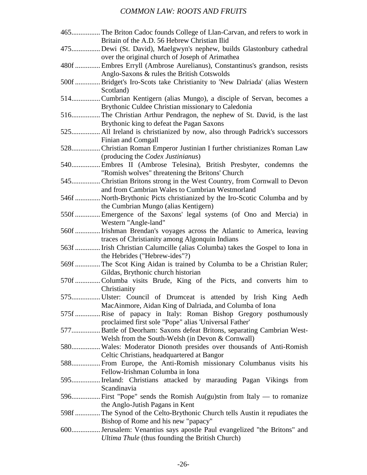| 465 The Briton Cadoc founds College of Llan-Carvan, and refers to work in    |
|------------------------------------------------------------------------------|
| Britain of the A.D. 56 Hebrew Christian Ilid                                 |
| 475Dewi (St. David), Maelgwyn's nephew, builds Glastonbury cathedral         |
| over the original church of Joseph of Arimathea                              |
| 480f  Embres Erryll (Ambrose Aurelianus), Constantinus's grandson, resists   |
| Anglo-Saxons & rules the British Cotswolds                                   |
| 500f  Bridget's Iro-Scots take Christianity to 'New Dalriada' (alias Western |
| Scotland)                                                                    |
| 514 Cumbrian Kentigern (alias Mungo), a disciple of Servan, becomes a        |
| Brythonic Culdee Christian missionary to Caledonia                           |
| 516 The Christian Arthur Pendragon, the nephew of St. David, is the last     |
| Brythonic king to defeat the Pagan Saxons                                    |
| 525 All Ireland is christianized by now, also through Padrick's successors   |
| Finian and Comgall                                                           |
| 528 Christian Roman Emperor Justinian I further christianizes Roman Law      |
| (producing the Codex Justinianus)                                            |
| 540 Embres II (Ambrose Telesina), British Presbyter, condemns the            |
| "Romish wolves" threatening the Britons' Church                              |
| 545Christian Britons strong in the West Country, from Cornwall to Devon      |
| and from Cambrian Wales to Cumbrian Westmorland                              |
| 546f  North-Brythonic Picts christianized by the Iro-Scotic Columba and by   |
| the Cumbrian Mungo (alias Kentigern)                                         |
| 550f  Emergence of the Saxons' legal systems (of Ono and Mercia) in          |
| Western "Angle-land"                                                         |
| 560f  Irishman Brendan's voyages across the Atlantic to America, leaving     |
| traces of Christianity among Algonquin Indians                               |
| 563f  Irish Christian Calumcille (alias Columba) takes the Gospel to Iona in |
| the Hebrides ("Hebrew-ides"?)                                                |
| 569f  The Scot King Aidan is trained by Columba to be a Christian Ruler;     |
| Gildas, Brythonic church historian                                           |
| 570f Columba visits Brude, King of the Picts, and converts him to            |
| Christianity                                                                 |
| 575 Ulster: Council of Drumceat is attended by Irish King Aedh               |
| MacAinmore, Aidan King of Dalriada, and Columba of Iona                      |
| 575f  Rise of papacy in Italy: Roman Bishop Gregory posthumously             |
| proclaimed first sole "Pope" alias 'Universal Father'                        |
| 577 Battle of Deorham: Saxons defeat Britons, separating Cambrian West-      |
| Welsh from the South-Welsh (in Devon & Cornwall)                             |
| 580 Wales: Moderator Dionoth presides over thousands of Anti-Romish          |
| Celtic Christians, headquartered at Bangor                                   |
| 588 From Europe, the Anti-Romish missionary Columbanus visits his            |
| Fellow-Irishman Columba in Iona                                              |
| 595 Ireland: Christians attacked by marauding Pagan Vikings from             |
| Scandinavia                                                                  |
| 596 First "Pope" sends the Romish Au(gu)stin from Italy — to romanize        |
| the Anglo-Jutish Pagans in Kent                                              |
| 598f  The Synod of the Celto-Brythonic Church tells Austin it repudiates the |
| Bishop of Rome and his new "papacy"                                          |
| 600 Jerusalem: Venantius says apostle Paul evangelized "the Britons" and     |
| Ultima Thule (thus founding the British Church)                              |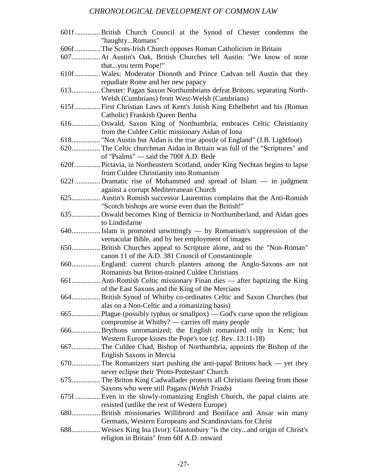# *CHRONOLOGICAL DEVELOPMENT OF COMMON LAW*

| 601f  British Church Council at the Synod of Chester condemns the<br>"haughtyRomans" |
|--------------------------------------------------------------------------------------|
| 606f  The Scots-Irish Church opposes Roman Catholicism in Britain                    |
| 607 At Austin's Oak, British Churches tell Austin: "We know of none                  |
| thatyou term Pope!"                                                                  |
| 610f  Wales: Moderator Dionoth and Prince Cadvan tell Austin that they               |
| repudiate Rome and her new papacy                                                    |
| 613 Chester: Pagan Saxon Northumbrians defeat Britons, separating North-             |
| Welsh (Cumbrians) from West-Welsh (Cambrians)                                        |
| 615f  First Christian Laws of Kent's Jutish King Ethelbehrt and his (Roman           |
| Catholic) Frankish Queen Bertha                                                      |
|                                                                                      |
| 616 Oswald, Saxon King of Northumbria, embraces Celtic Christianity                  |
| from the Culdee Celtic missionary Aidan of Iona                                      |
| 618" "Not Austin but Aidan is the true apostle of England" (J.B. Lightfoot)          |
| 620 The Celtic churchman Aidan in Britain was full of the "Scriptures" and           |
| of "Psalms" — said the 700f A.D. Bede                                                |
| 620f  Pictavia, in Northeastern Scotland, under King Nechtan begins to lapse         |
| from Culdee Christianity into Romanism                                               |
| 622f  Dramatic rise of Mohammed and spread of Islam — in judgment                    |
| against a corrupt Mediterranean Church                                               |
| 625 Austin's Romish successor Laurentius complains that the Anti-Romish              |
| "Scotch bishops are worse even than the British!"                                    |
| 635 Oswald becomes King of Bernicia in Northumberland, and Aidan goes                |
| to Lindisfarne                                                                       |
|                                                                                      |
| vernacular Bible, and by her employment of images                                    |
| 650 British Churches appeal to Scripture alone, and to the "Non-Roman"               |
| canon 11 of the A.D. 381 Council of Constantinople                                   |
| 660 England: current church planters among the Anglo-Saxons are not                  |
| Romanists but Briton-trained Culdee Christians                                       |
|                                                                                      |
| of the East Saxons and the King of the Mercians                                      |
| 664 British Synod of Whitby co-ordinates Celtic and Saxon Churches (but              |
| alas on a Non-Celtic and a romanizing basis)                                         |
| 665 Plague (possibly typhus or smallpox) — God's curse upon the religious            |
| compromise at Whitby? — carries off many people                                      |
| 666 Brythons unromanized; the English romanized only in Kent; but                    |
| Western Europe kisses the Pope's toe $(cf. Rev. 13:11-18)$                           |
| 667 The Culdee Chad, Bishop of Northumbria, appoints the Bishop of the               |
| English Saxons in Mercia                                                             |
|                                                                                      |
| never eclipse their 'Proto-Protestant' Church                                        |
| 675 The Briton King Cadwallader protects all Christians fleeing from those           |
| Saxons who were still Pagans (Welsh Triads)                                          |
| 675f  Even in the slowly-romanizing English Church, the papal claims are             |
| resisted (unlike the rest of Western Europe)                                         |
| 680 British missionaries Willibrord and Boniface and Ansar win many                  |
| Germans, Western Europeans and Scandinavians for Christ                              |
| 688 Wessex King Ina (Ivor): Glastonbury "is the cityand origin of Christ's           |
| religion in Britain" from 60f A.D. onward                                            |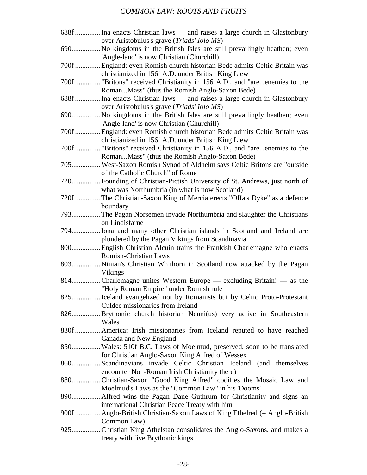| 688f  Ina enacts Christian laws — and raises a large church in Glastonbury                       |
|--------------------------------------------------------------------------------------------------|
| over Aristobulus's grave (Triads' Iolo MS)                                                       |
| 690 No kingdoms in the British Isles are still prevailingly heathen; even                        |
| 'Angle-land' is now Christian (Churchill)                                                        |
| 700f  England: even Romish church historian Bede admits Celtic Britain was                       |
| christianized in 156f A.D. under British King Llew                                               |
| 700f  "Britons" received Christianity in 156 A.D., and "areenemies to the                        |
| RomanMass" (thus the Romish Anglo-Saxon Bede)                                                    |
| 688f  Ina enacts Christian laws — and raises a large church in Glastonbury                       |
| over Aristobulus's grave (Triads' Iolo MS)                                                       |
| 690 No kingdoms in the British Isles are still prevailingly heathen; even                        |
| 'Angle-land' is now Christian (Churchill)                                                        |
| 700f  England: even Romish church historian Bede admits Celtic Britain was                       |
| christianized in 156f A.D. under British King Llew                                               |
| 700f  "Britons" received Christianity in 156 A.D., and "areenemies to the                        |
| RomanMass" (thus the Romish Anglo-Saxon Bede)                                                    |
| 705 West-Saxon Romish Synod of Aldhelm says Celtic Britons are "outside                          |
| of the Catholic Church" of Rome                                                                  |
| 720 Founding of Christian-Pictish University of St. Andrews, just north of                       |
| what was Northumbria (in what is now Scotland)                                                   |
| 720f  The Christian-Saxon King of Mercia erects "Offa's Dyke" as a defence                       |
| boundary                                                                                         |
| 793 The Pagan Norsemen invade Northumbria and slaughter the Christians                           |
| on Lindisfarne                                                                                   |
| 794 Iona and many other Christian islands in Scotland and Ireland are                            |
| plundered by the Pagan Vikings from Scandinavia                                                  |
| 800 English Christian Alcuin trains the Frankish Charlemagne who enacts                          |
| <b>Romish-Christian Laws</b>                                                                     |
| 803 Ninian's Christian Whithorn in Scotland now attacked by the Pagan                            |
| Vikings                                                                                          |
| 814Charlemagne unites Western Europe — excluding Britain! — as the                               |
| "Holy Roman Empire" under Romish rule                                                            |
| 825 Iceland evangelized not by Romanists but by Celtic Proto-Protestant                          |
| Culdee missionaries from Ireland                                                                 |
| 826 Brythonic church historian Nenni(us) very active in Southeastern<br>Wales                    |
|                                                                                                  |
| 830f  America: Irish missionaries from Iceland reputed to have reached                           |
| Canada and New England<br>850 Wales: 510f B.C. Laws of Moelmud, preserved, soon to be translated |
| for Christian Anglo-Saxon King Alfred of Wessex                                                  |
| 860 Scandinavians invade Celtic Christian Iceland (and themselves                                |
| encounter Non-Roman Irish Christianity there)                                                    |
| 880Christian-Saxon "Good King Alfred" codifies the Mosaic Law and                                |
| Moelmud's Laws as the "Common Law" in his 'Dooms'                                                |
|                                                                                                  |
| international Christian Peace Treaty with him                                                    |
| 900f  Anglo-British Christian-Saxon Laws of King Ethelred (= Anglo-British                       |
| Common Law)                                                                                      |
| 925 Christian King Athelstan consolidates the Anglo-Saxons, and makes a                          |
| treaty with five Brythonic kings                                                                 |
|                                                                                                  |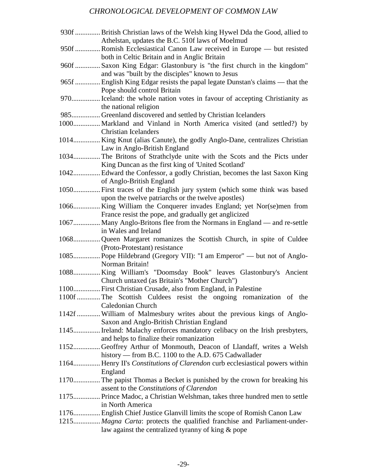# *CHRONOLOGICAL DEVELOPMENT OF COMMON LAW*

| 930f  British Christian laws of the Welsh king Hywel Dda the Good, allied to  |
|-------------------------------------------------------------------------------|
| Athelstan, updates the B.C. 510f laws of Moelmud                              |
| 950f  Romish Ecclesiastical Canon Law received in Europe — but resisted       |
| both in Celtic Britain and in Anglic Britain                                  |
| 960f  Saxon King Edgar: Glastonbury is "the first church in the kingdom"      |
| and was "built by the disciples" known to Jesus                               |
| 965f  English King Edgar resists the papal legate Dunstan's claims — that the |
| Pope should control Britain                                                   |
| 970 Iceland: the whole nation votes in favour of accepting Christianity as    |
| the national religion                                                         |
| 985 Greenland discovered and settled by Christian Icelanders                  |
| 1000 Markland and Vinland in North America visited (and settled?) by          |
| <b>Christian Icelanders</b>                                                   |
| 1014 King Knut (alias Canute), the godly Anglo-Dane, centralizes Christian    |
| Law in Anglo-British England                                                  |
| 1034 The Britons of Strathclyde unite with the Scots and the Picts under      |
| King Duncan as the first king of 'United Scotland'                            |
| 1042 Edward the Confessor, a godly Christian, becomes the last Saxon King     |
| of Anglo-British England                                                      |
| 1050 First traces of the English jury system (which some think was based      |
| upon the twelve patriarchs or the twelve apostles)                            |
| 1066King William the Conquerer invades England; yet Nor(se)men from           |
| France resist the pope, and gradually get anglicized                          |
| 1067 Many Anglo-Britons flee from the Normans in England — and re-settle      |
| in Wales and Ireland                                                          |
| 1068Queen Margaret romanizes the Scottish Church, in spite of Culdee          |
| (Proto-Protestant) resistance                                                 |
| 1085 Pope Hildebrand (Gregory VII): "I am Emperor" — but not of Anglo-        |
| Norman Britain!                                                               |
| 1088King William's "Doomsday Book" leaves Glastonbury's Ancient               |
| Church untaxed (as Britain's "Mother Church")                                 |
| 1100 First Christian Crusade, also from England, in Palestine                 |
| 1100f  The Scottish Culdees resist the ongoing romanization of the            |
| Caledonian Church                                                             |
| 1142f  William of Malmesbury writes about the previous kings of Anglo-        |
| Saxon and Anglo-British Christian England                                     |
| 1145 Ireland: Malachy enforces mandatory celibacy on the Irish presbyters,    |
|                                                                               |
| and helps to finalize their romanization                                      |
| 1152Geoffrey Arthur of Monmouth, Deacon of Llandaff, writes a Welsh           |
| history — from B.C. 1100 to the A.D. 675 Cadwallader                          |
| 1164 Henry II's Constitutions of Clarendon curb ecclesiastical powers within  |
| England                                                                       |
| 1170 The papist Thomas a Becket is punished by the crown for breaking his     |
| assent to the Constitutions of Clarendon                                      |
| 1175 Prince Madoc, a Christian Welshman, takes three hundred men to settle    |
| in North America                                                              |
| 1176 English Chief Justice Glanvill limits the scope of Romish Canon Law      |
| 1215 Magna Carta: protects the qualified franchise and Parliament-under-      |
| law against the centralized tyranny of king & pope                            |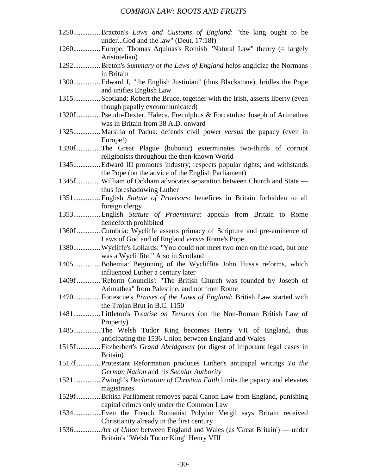| 1250Bracton's Laws and Customs of England: "the king ought to be                |
|---------------------------------------------------------------------------------|
| underGod and the law" (Deut. 17:18f)                                            |
| 1260 Europe: Thomas Aquinas's Romish "Natural Law" theory (= largely            |
| Aristotelian)                                                                   |
| 1292 Breton's Summary of the Laws of England helps anglicize the Normans        |
| in Britain                                                                      |
| 1300 Edward I, "the English Justinian" (thus Blackstone), bridles the Pope      |
| and unifies English Law                                                         |
| 1315 Scotland: Robert the Bruce, together with the Irish, asserts liberty (even |
| though papally excommunicated)                                                  |
| 1320f  Pseudo-Dexter, Haleca, Freculphus & Forcatulus: Joseph of Arimathea      |
| was in Britain from 38 A.D. onward                                              |
| 1325 Marsilia of Padua: defends civil power versus the papacy (even in          |
| Europe!)                                                                        |
| 1330f  The Great Plague (bubonic) exterminates two-thirds of corrupt            |
| religionists throughout the then-known World                                    |
| 1345 Edward III promotes industry; respects popular rights; and withstands      |
| the Pope (on the advice of the English Parliament)                              |
| 1345f  William of Ockham advocates separation between Church and State -        |
| thus foreshadowing Luther                                                       |
| 1351 English Statute of Provisors: benefices in Britain forbidden to all        |
| foreign clergy                                                                  |
| 1353 English Statute of Praemunire: appeals from Britain to Rome                |
| henceforth prohibited                                                           |
| 1360f  Cumbria: Wycliffe asserts primacy of Scripture and pre-eminence of       |
| Laws of God and of England versus Rome's Pope                                   |
| 1380 Wycliffe's Lollards: "You could not meet two men on the road, but one      |
| was a Wycliffite!" Also in Scotland                                             |
| 1405Bohemia: Beginning of the Wycliffite John Huss's reforms, which             |
| influenced Luther a century later                                               |
| 1409f  'Reform Councils': "The British Church was founded by Joseph of          |
| Arimathea" from Palestine, and not from Rome                                    |
| 1470 Fortescue's Praises of the Laws of England: British Law started with       |
| the Trojan Brut in B.C. 1150                                                    |
| 1481Littleton's Treatise on Tenures (on the Non-Roman British Law of            |
| Property)                                                                       |
| 1485The Welsh Tudor King becomes Henry VII of England, thus                     |
| anticipating the 1536 Union between England and Wales                           |
| 1515f  Fitzherbert's Grand Abridgment (or digest of important legal cases in    |
| Britain)                                                                        |
| 1517f  Protestant Reformation produces Luther's antipapal writings To the       |
| German Nation and his Secular Authority                                         |
|                                                                                 |
| magistrates                                                                     |
| 1529f  British Parliament removes papal Canon Law from England, punishing       |
| capital crimes only under the Common Law                                        |
| 1534 Even the French Romanist Polydor Vergil says Britain received              |
| Christianity already in the first century                                       |
| 1536 Act of Union between England and Wales (as 'Great Britain') — under        |
| Britain's "Welsh Tudor King" Henry VIII                                         |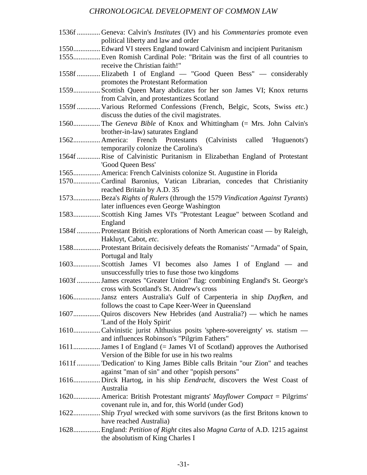# *CHRONOLOGICAL DEVELOPMENT OF COMMON LAW*

| 1536f Geneva: Calvin's <i>Institutes</i> (IV) and his <i>Commentaries</i> promote even |
|----------------------------------------------------------------------------------------|
| political liberty and law and order                                                    |
| 1550 Edward VI steers England toward Calvinism and incipient Puritanism                |
| 1555Even Romish Cardinal Pole: "Britain was the first of all countries to              |
| receive the Christian faith!"                                                          |
| 1558f  Elizabeth I of England — "Good Queen Bess" — considerably                       |
| promotes the Protestant Reformation                                                    |
| 1559 Scottish Queen Mary abdicates for her son James VI; Knox returns                  |
| from Calvin, and protestantizes Scotland                                               |
| 1559f  Various Reformed Confessions (French, Belgic, Scots, Swiss etc.)                |
| discuss the duties of the civil magistrates.                                           |
| 1560The Geneva Bible of Knox and Whittingham (= Mrs. John Calvin's                     |
| brother-in-law) saturates England                                                      |
| 1562 America: French Protestants (Calvinists called 'Huguenots')                       |
| temporarily colonize the Carolina's                                                    |
| 1564f  Rise of Calvinistic Puritanism in Elizabethan England of Protestant             |
| 'Good Queen Bess'                                                                      |
| 1565 America: French Calvinists colonize St. Augustine in Florida                      |
| 1570Cardinal Baronius, Vatican Librarian, concedes that Christianity                   |
| reached Britain by A.D. 35                                                             |
| 1573Beza's Rights of Rulers (through the 1579 Vindication Against Tyrants)             |
| later influences even George Washington                                                |
| 1583Scottish King James VI's "Protestant League" between Scotland and                  |
| England                                                                                |
| 1584f  Protestant British explorations of North American coast — by Raleigh,           |
| Hakluyt, Cabot, etc.                                                                   |
| 1588 Protestant Britain decisively defeats the Romanists' "Armada" of Spain,           |
| Portugal and Italy                                                                     |
| 1603Scottish James VI becomes also James I of England — and                            |
| unsuccessfully tries to fuse those two kingdoms                                        |
| 1603f  James creates "Greater Union" flag: combining England's St. George's            |
| cross with Scotland's St. Andrew's cross                                               |
| 1606Jansz enters Australia's Gulf of Carpenteria in ship Duyfken, and                  |
| follows the coast to Cape Keer-Weer in Queensland                                      |
| 1607Quiros discovers New Hebrides (and Australia?) — which he names                    |
| 'Land of the Holy Spirit'                                                              |
| 1610Calvinistic jurist Althusius posits 'sphere-sovereignty' vs. statism —             |
| and influences Robinson's "Pilgrim Fathers"                                            |
| 1611 James I of England (= James VI of Scotland) approves the Authorised               |
| Version of the Bible for use in his two realms                                         |
| 1611f  'Dedication' to King James Bible calls Britain "our Zion" and teaches           |
| against "man of sin" and other "popish persons"                                        |
| 1616Dirck Hartog, in his ship Eendracht, discovers the West Coast of                   |
| Australia                                                                              |
| 1620 America: British Protestant migrants' Mayflower Compact = Pilgrims'               |
| covenant rule in, and for, this World (under God)                                      |
| 1622 Ship Tryal wrecked with some survivors (as the first Britons known to             |
| have reached Australia)                                                                |
| 1628 England: Petition of Right cites also Magna Carta of A.D. 1215 against            |
| the absolutism of King Charles I                                                       |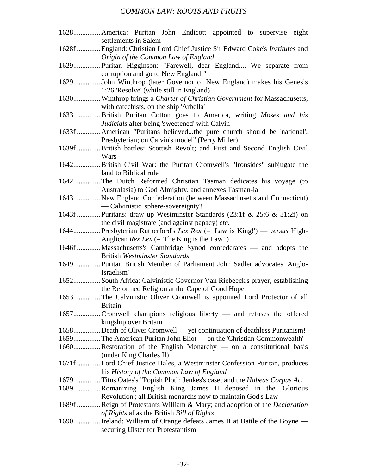1628............... America: Puritan John Endicott appointed to supervise eight settlements in Salem 1628f ............. England: Christian Lord Chief Justice Sir Edward Coke's *Institutes* and *Origin of the Common Law of England* 1629............... Puritan Higginson: "Farewell, dear England.... We separate from corruption and go to New England!" 1629............... John Winthrop (later Governor of New England) makes his Genesis 1:26 'Resolve' (while still in England) 1630............... Winthrop brings a *Charter of Christian Government* for Massachusetts, with catechists, on the ship 'Arbella' 1633............... British Puritan Cotton goes to America, writing *Moses and his Judicials* after being 'sweetened' with Calvin 1633f ............. American "Puritans believed...the pure church should be 'national'; Presbyterian; on Calvin's model" (Perry Miller) 1639f ............. British battles: Scottish Revolt; and First and Second English Civil Wars 1642............... British Civil War: the Puritan Cromwell's "Ironsides" subjugate the land to Biblical rule 1642............... The Dutch Reformed Christian Tasman dedicates his voyage (to Australasia) to God Almighty, and annexes Tasman-ia 1643............... New England Confederation (between Massachusetts and Connecticut) — Calvinistic 'sphere-sovereignty'! 1643f ............. Puritans: draw up Westminster Standards (23:1f & 25:6 & 31:2f) on the civil magistrate (and against papacy) *etc*. 1644............... Presbyterian Rutherford's *Lex Rex* (= 'Law is King!') — *versus* High-Anglican *Rex Lex* (= 'The King is the Law!') 1646f ............. Massachusetts's Cambridge Synod confederates — and adopts the British *Westminster Standards* 1649............... Puritan British Member of Parliament John Sadler advocates 'Anglo-Israelism' 1652............... South Africa: Calvinistic Governor Van Riebeeck's prayer, establishing the Reformed Religion at the Cape of Good Hope 1653............... The Calvinistic Oliver Cromwell is appointed Lord Protector of all Britain 1657............... Cromwell champions religious liberty — and refuses the offered kingship over Britain 1658............... Death of Oliver Cromwell — yet continuation of deathless Puritanism! 1659............... The American Puritan John Eliot — on the 'Christian Commonwealth' 1660............... Restoration of the English Monarchy — on a constitutional basis (under King Charles II) 1671f ............. Lord Chief Justice Hales, a Westminster Confession Puritan, produces his *History of the Common Law of England* 1679............... Titus Oates's "Popish Plot"; Jenkes's case; and the *Habeas Corpus Act* 1689............... Romanizing English King James II deposed in the 'Glorious Revolution'; all British monarchs now to maintain God's Law 1689f ............. Reign of Protestants William & Mary; and adoption of the *Declaration of Rights* alias the British *Bill of Rights* 1690............... Ireland: William of Orange defeats James II at Battle of the Boyne securing Ulster for Protestantism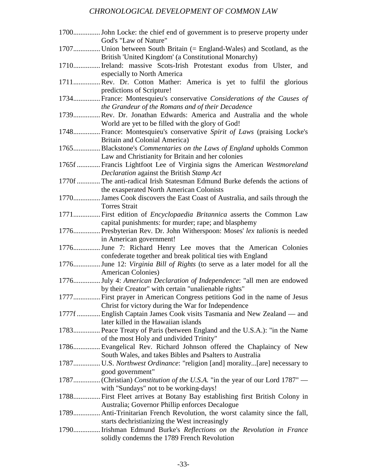# *CHRONOLOGICAL DEVELOPMENT OF COMMON LAW*

| God's "Law of Nature"                                                                                                         |
|-------------------------------------------------------------------------------------------------------------------------------|
| 1707 Union between South Britain (= England-Wales) and Scotland, as the                                                       |
| British 'United Kingdom' (a Constitutional Monarchy)                                                                          |
| 1710 Ireland: massive Scots-Irish Protestant exodus from Ulster, and<br>especially to North America                           |
| 1711Rev. Dr. Cotton Mather: America is yet to fulfil the glorious                                                             |
| predictions of Scripture!                                                                                                     |
| 1734 France: Montesquieu's conservative Considerations of the Causes of<br>the Grandeur of the Romans and of their Decadence  |
| 1739Rev. Dr. Jonathan Edwards: America and Australia and the whole                                                            |
| World are yet to be filled with the glory of God!                                                                             |
| 1748 France: Montesquieu's conservative Spirit of Laws (praising Locke's                                                      |
| Britain and Colonial America)                                                                                                 |
| 1765Blackstone's <i>Commentaries on the Laws of England</i> upholds Common                                                    |
| Law and Christianity for Britain and her colonies                                                                             |
| 1765f  Francis Lightfoot Lee of Virginia signs the American Westmoreland                                                      |
| Declaration against the British Stamp Act                                                                                     |
| 1770f  The anti-radical Irish Statesman Edmund Burke defends the actions of                                                   |
| the exasperated North American Colonists                                                                                      |
| 1770 James Cook discovers the East Coast of Australia, and sails through the                                                  |
| <b>Torres Strait</b>                                                                                                          |
| 1771 First edition of <i>Encyclopaedia Britannica</i> asserts the Common Law                                                  |
| capital punishments: for murder; rape; and blasphemy                                                                          |
| 1776 Presbyterian Rev. Dr. John Witherspoon: Moses' lex talionis is needed                                                    |
| in American government!                                                                                                       |
| 1776June 7: Richard Henry Lee moves that the American Colonies                                                                |
| confederate together and break political ties with England                                                                    |
| 1776June 12: Virginia Bill of Rights (to serve as a later model for all the<br>American Colonies)                             |
|                                                                                                                               |
| 1776July 4: American Declaration of Independence: "all men are endowed<br>by their Creator" with certain "unalienable rights" |
| 1777 First prayer in American Congress petitions God in the name of Jesus                                                     |
| Christ for victory during the War for Independence                                                                            |
| 1777f  English Captain James Cook visits Tasmania and New Zealand — and                                                       |
| later killed in the Hawaiian islands                                                                                          |
| 1783 Peace Treaty of Paris (between England and the U.S.A.): "in the Name                                                     |
| of the most Holy and undivided Trinity"                                                                                       |
| 1786Evangelical Rev. Richard Johnson offered the Chaplaincy of New                                                            |
| South Wales, and takes Bibles and Psalters to Australia                                                                       |
| 1787 U.S. Northwest Ordinance: "religion [and] morality[are] necessary to                                                     |
| good government"                                                                                                              |
|                                                                                                                               |
| with "Sundays" not to be working-days!                                                                                        |
| 1788 First Fleet arrives at Botany Bay establishing first British Colony in                                                   |
| Australia; Governor Phillip enforces Decalogue                                                                                |
| 1789 Anti-Trinitarian French Revolution, the worst calamity since the fall,                                                   |
| starts dechristianizing the West increasingly                                                                                 |
| 1790 Irishman Edmund Burke's Reflections on the Revolution in France                                                          |
| solidly condemns the 1789 French Revolution                                                                                   |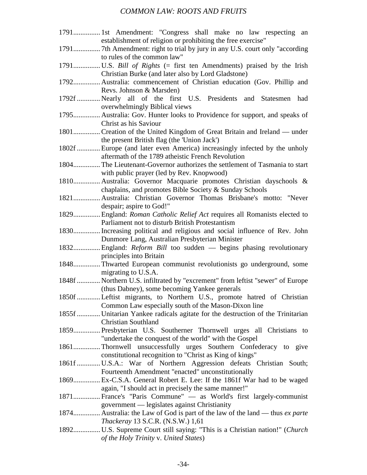| 1791 1st Amendment: "Congress shall make no law respecting an                   |
|---------------------------------------------------------------------------------|
| establishment of religion or prohibiting the free exercise"                     |
|                                                                                 |
| to rules of the common law"                                                     |
|                                                                                 |
| Christian Burke (and later also by Lord Gladstone)                              |
| 1792 Australia: commencement of Christian education (Gov. Phillip and           |
| Revs. Johnson & Marsden)                                                        |
| 1792f  Nearly all of the first U.S. Presidents and Statesmen<br>had             |
| overwhelmingly Biblical views                                                   |
| 1795 Australia: Gov. Hunter looks to Providence for support, and speaks of      |
| Christ as his Saviour                                                           |
| 1801 Creation of the United Kingdom of Great Britain and Ireland — under        |
| the present British flag (the 'Union Jack')                                     |
| 1802f  Europe (and later even America) increasingly infected by the unholy      |
| aftermath of the 1789 atheistic French Revolution                               |
| 1804 The Lieutenant-Governor authorizes the settlement of Tasmania to start     |
| with public prayer (led by Rev. Knopwood)                                       |
| 1810 Australia: Governor Macquarie promotes Christian dayschools &              |
| chaplains, and promotes Bible Society & Sunday Schools                          |
| 1821 Australia: Christian Governor Thomas Brisbane's motto: "Never              |
| despair; aspire to God!"                                                        |
| 1829 England: Roman Catholic Relief Act requires all Romanists elected to       |
| Parliament not to disturb British Protestantism                                 |
| 1830 Increasing political and religious and social influence of Rev. John       |
| Dunmore Lang, Australian Presbyterian Minister                                  |
| 1832 England: Reform Bill too sudden - begins phasing revolutionary             |
| principles into Britain                                                         |
| 1848 Thwarted European communist revolutionists go underground, some            |
| migrating to U.S.A.                                                             |
| 1848f  Northern U.S. infiltrated by "excrement" from leftist "sewer" of Europe  |
| (thus Dabney), some becoming Yankee generals                                    |
| 1850f Leftist migrants, to Northern U.S., promote hatred of Christian           |
| Common Law especially south of the Mason-Dixon line                             |
| 1855f  Unitarian Yankee radicals agitate for the destruction of the Trinitarian |
| <b>Christian Southland</b>                                                      |
| 1859 Presbyterian U.S. Southerner Thornwell urges all Christians to             |
| "undertake the conquest of the world" with the Gospel                           |
| 1861Thornwell unsuccessfully urges Southern Confederacy to give                 |
| constitutional recognition to "Christ as King of kings"                         |
| 1861f  U.S.A.: War of Northern Aggression defeats Christian South;              |
| Fourteenth Amendment "enacted" unconstitutionally                               |
| 1869 Ex-C.S.A. General Robert E. Lee: If the 1861f War had to be waged          |
| again, "I should act in precisely the same manner!"                             |
| 1871 France's "Paris Commune" - as World's first largely-communist              |
| government — legislates against Christianity                                    |
| 1874 Australia: the Law of God is part of the law of the land — thus ex parte   |
| Thackeray 13 S.C.R. (N.S.W.) 1,61                                               |
| 1892 U.S. Supreme Court still saying: "This is a Christian nation!" (Church     |
| of the Holy Trinity v. United States)                                           |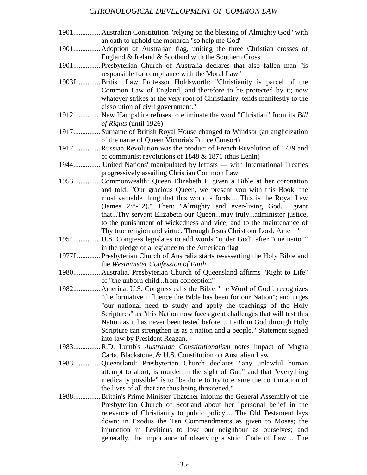#### *CHRONOLOGICAL DEVELOPMENT OF COMMON LAW*

- 1901............... Australian Constitution "relying on the blessing of Almighty God" with an oath to uphold the monarch "so help me God"
- 1901............... Adoption of Australian flag, uniting the three Christian crosses of England & Ireland & Scotland with the Southern Cross
- 1901............... Presbyterian Church of Australia declares that also fallen man "is responsible for compliance with the Moral Law"
- 1903f ............. British Law Professor Holdsworth: "Christianity is parcel of the Common Law of England, and therefore to be protected by it; now whatever strikes at the very root of Christianity, tends manifestly to the dissolution of civil government."
- 1912............... New Hampshire refuses to eliminate the word "Christian" from its *Bill of Rights* (until 1926)
- 1917............... Surname of British Royal House changed to Windsor (an anglicization of the name of Queen Victoria's Prince Consort).
- 1917............... Russian Revolution was the product of French Revolution of 1789 and of communist revolutions of 1848 & 1871 (thus Lenin)
- 1944............... 'United Nations' manipulated by leftists with International Treaties progressively assailing Christian Common Law
- 1953............... Commonwealth: Queen Elizabeth II given a Bible at her coronation and told: "Our gracious Queen, we present you with this Book, the most valuable thing that this world affords.... This is the Royal Law (James 2:8-12)." Then: "Almighty and ever-living God..., grant that...Thy servant Elizabeth our Queen...may truly...administer justice, to the punishment of wickedness and vice, and to the maintenance of Thy true religion and virtue. Through Jesus Christ our Lord. Amen!"
- 1954............... U.S. Congress legislates to add words "under God" after "one nation" in the pledge of allegiance to the American flag
- 1977f ............. Presbyterian Church of Australia starts re-asserting the Holy Bible and the *Westminster Confession of Faith*
- 1980............... Australia. Presbyterian Church of Queensland affirms "Right to Life" of "the unborn child...from conception"
- 1982............... America: U.S. Congress calls the Bible "the Word of God"; recognizes "the formative influence the Bible has been for our Nation"; and urges "our national need to study and apply the teachings of the Holy Scriptures" as "this Nation now faces great challenges that will test this Nation as it has never been tested before.... Faith in God through Holy Scripture can strengthen us as a nation and a people." Statement signed into law by President Reagan.
- 1983............... R.D. Lumb's *Australian Constitutionalism* notes impact of Magna Carta, Blackstone, & U.S. Constitution on Australian Law
- 1983............... Queensland: Presbyterian Church declares "any unlawful human attempt to abort, is murder in the sight of God" and that "everything medically possible" is to "be done to try to ensure the continuation of the lives of all that are thus being threatened."
- 1988............... Britain's Prime Minister Thatcher informs the General Assembly of the Presbyterian Church of Scotland about her "personal belief in the relevance of Christianity to public policy.... The Old Testament lays down: in Exodus the Ten Commandments as given to Moses; the injunction in Leviticus to love our neighbour as ourselves; and generally, the importance of observing a strict Code of Law.... The